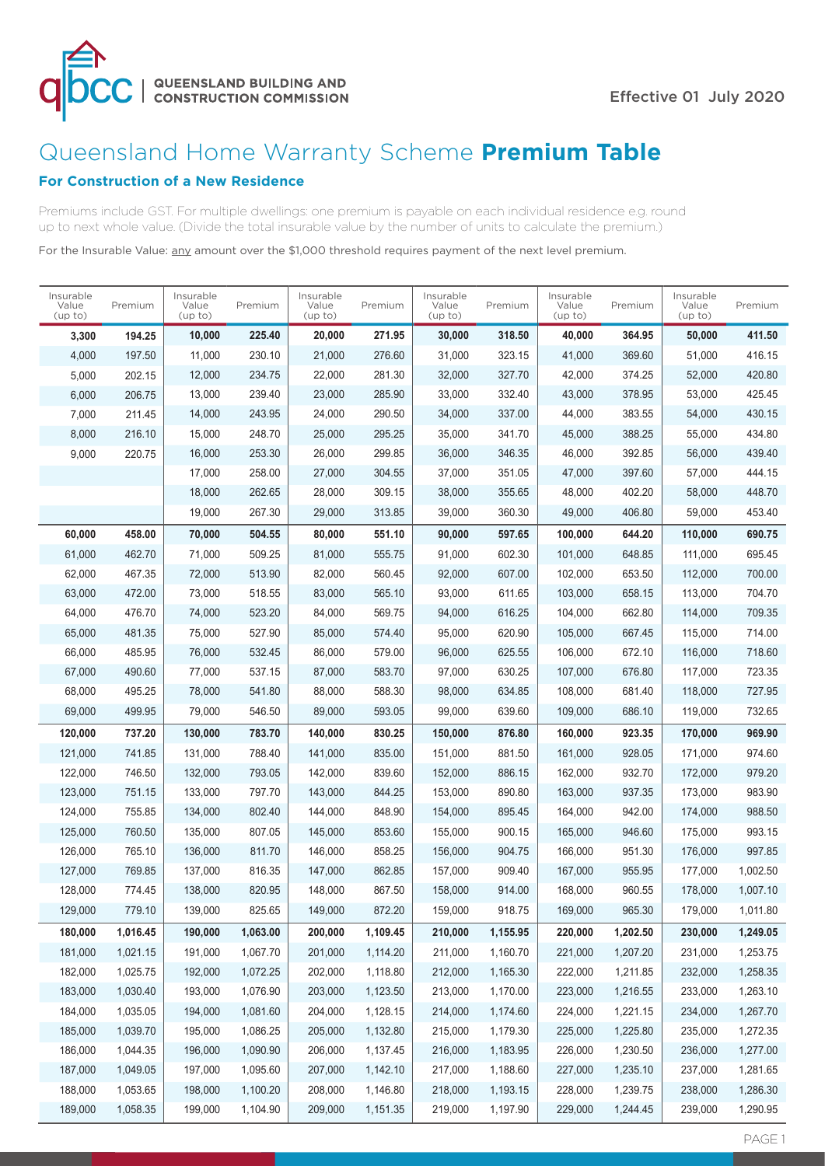

# Queensland Home Warranty Scheme **Premium Table**

## **For Construction of a New Residence**

Premiums include GST. For multiple dwellings: one premium is payable on each individual residence e.g. round up to next whole value. (Divide the total insurable value by the number of units to calculate the premium.)

For the Insurable Value: any amount over the \$1,000 threshold requires payment of the next level premium.

| Insurable<br>Value<br>(up to) | Premium  | Insurable<br>Value<br>(up to) | Premium  | Insurable<br>Value<br>(up to) | Premium  | Insurable<br>Value<br>(up to) | Premium  | Insurable<br>Value<br>(up to) | Premium  | Insurable<br>Value<br>(up to) | Premium  |
|-------------------------------|----------|-------------------------------|----------|-------------------------------|----------|-------------------------------|----------|-------------------------------|----------|-------------------------------|----------|
| 3,300                         | 194.25   | 10,000                        | 225.40   | 20,000                        | 271.95   | 30,000                        | 318.50   | 40,000                        | 364.95   | 50,000                        | 411.50   |
| 4,000                         | 197.50   | 11,000                        | 230.10   | 21,000                        | 276.60   | 31,000                        | 323.15   | 41,000                        | 369.60   | 51,000                        | 416.15   |
| 5,000                         | 202.15   | 12,000                        | 234.75   | 22,000                        | 281.30   | 32,000                        | 327.70   | 42,000                        | 374.25   | 52,000                        | 420.80   |
| 6,000                         | 206.75   | 13,000                        | 239.40   | 23,000                        | 285.90   | 33,000                        | 332.40   | 43,000                        | 378.95   | 53,000                        | 425.45   |
| 7,000                         | 211.45   | 14,000                        | 243.95   | 24,000                        | 290.50   | 34,000                        | 337.00   | 44,000                        | 383.55   | 54,000                        | 430.15   |
| 8,000                         | 216.10   | 15,000                        | 248.70   | 25,000                        | 295.25   | 35,000                        | 341.70   | 45,000                        | 388.25   | 55,000                        | 434.80   |
| 9,000                         | 220.75   | 16,000                        | 253.30   | 26,000                        | 299.85   | 36,000                        | 346.35   | 46.000                        | 392.85   | 56,000                        | 439.40   |
|                               |          | 17,000                        | 258.00   | 27,000                        | 304.55   | 37,000                        | 351.05   | 47,000                        | 397.60   | 57,000                        | 444.15   |
|                               |          | 18,000                        | 262.65   | 28,000                        | 309.15   | 38,000                        | 355.65   | 48,000                        | 402.20   | 58,000                        | 448.70   |
|                               |          | 19,000                        | 267.30   | 29,000                        | 313.85   | 39,000                        | 360.30   | 49,000                        | 406.80   | 59,000                        | 453.40   |
| 60,000                        | 458.00   | 70,000                        | 504.55   | 80,000                        | 551.10   | 90,000                        | 597.65   | 100,000                       | 644.20   | 110,000                       | 690.75   |
| 61,000                        | 462.70   | 71,000                        | 509.25   | 81,000                        | 555.75   | 91,000                        | 602.30   | 101,000                       | 648.85   | 111,000                       | 695.45   |
| 62,000                        | 467.35   | 72,000                        | 513.90   | 82,000                        | 560.45   | 92,000                        | 607.00   | 102,000                       | 653.50   | 112,000                       | 700.00   |
| 63,000                        | 472.00   | 73,000                        | 518.55   | 83,000                        | 565.10   | 93,000                        | 611.65   | 103,000                       | 658.15   | 113,000                       | 704.70   |
| 64,000                        | 476.70   | 74,000                        | 523.20   | 84,000                        | 569.75   | 94,000                        | 616.25   | 104,000                       | 662.80   | 114,000                       | 709.35   |
| 65,000                        | 481.35   | 75,000                        | 527.90   | 85,000                        | 574.40   | 95,000                        | 620.90   | 105,000                       | 667.45   | 115,000                       | 714.00   |
| 66,000                        | 485.95   | 76,000                        | 532.45   | 86,000                        | 579.00   | 96,000                        | 625.55   | 106,000                       | 672.10   | 116,000                       | 718.60   |
| 67,000                        | 490.60   | 77,000                        | 537.15   | 87,000                        | 583.70   | 97,000                        | 630.25   | 107.000                       | 676.80   | 117,000                       | 723.35   |
| 68,000                        | 495.25   | 78,000                        | 541.80   | 88,000                        | 588.30   | 98,000                        | 634.85   | 108,000                       | 681.40   | 118,000                       | 727.95   |
| 69,000                        | 499.95   | 79,000                        | 546.50   | 89,000                        | 593.05   | 99,000                        | 639.60   | 109,000                       | 686.10   | 119,000                       | 732.65   |
| 120,000                       | 737.20   | 130,000                       | 783.70   | 140,000                       | 830.25   | 150,000                       | 876.80   | 160,000                       | 923.35   | 170,000                       | 969.90   |
| 121,000                       | 741.85   | 131,000                       | 788.40   | 141,000                       | 835.00   | 151,000                       | 881.50   | 161,000                       | 928.05   | 171,000                       | 974.60   |
| 122,000                       | 746.50   | 132,000                       | 793.05   | 142,000                       | 839.60   | 152,000                       | 886.15   | 162,000                       | 932.70   | 172,000                       | 979.20   |
| 123,000                       | 751.15   | 133,000                       | 797.70   | 143,000                       | 844.25   | 153,000                       | 890.80   | 163,000                       | 937.35   | 173,000                       | 983.90   |
| 124,000                       | 755.85   | 134,000                       | 802.40   | 144,000                       | 848.90   | 154,000                       | 895.45   | 164,000                       | 942.00   | 174,000                       | 988.50   |
| 125,000                       | 760.50   | 135,000                       | 807.05   | 145,000                       | 853.60   | 155,000                       | 900.15   | 165,000                       | 946.60   | 175,000                       | 993.15   |
| 126,000                       | 765.10   | 136,000                       | 811.70   | 146,000                       | 858.25   | 156,000                       | 904.75   | 166,000                       | 951.30   | 176,000                       | 997.85   |
| 127,000                       | 769.85   | 137.000                       | 816.35   | 147,000                       | 862.85   | 157,000                       | 909.40   | 167,000                       | 955.95   | 177,000                       | 1,002.50 |
| 128,000                       | 774.45   | 138,000                       | 820.95   | 148,000                       | 867.50   | 158,000                       | 914.00   | 168,000                       | 960.55   | 178,000                       | 1,007.10 |
| 129,000                       | 779.10   | 139,000                       | 825.65   | 149,000                       | 872.20   | 159,000                       | 918.75   | 169,000                       | 965.30   | 179,000                       | 1,011.80 |
| 180,000                       | 1,016.45 | 190,000                       | 1,063.00 | 200,000                       | 1,109.45 | 210,000                       | 1,155.95 | 220,000                       | 1,202.50 | 230,000                       | 1,249.05 |
| 181,000                       | 1,021.15 | 191,000                       | 1,067.70 | 201,000                       | 1,114.20 | 211,000                       | 1,160.70 | 221,000                       | 1,207.20 | 231,000                       | 1,253.75 |
| 182,000                       | 1,025.75 | 192,000                       | 1,072.25 | 202,000                       | 1,118.80 | 212,000                       | 1,165.30 | 222,000                       | 1,211.85 | 232,000                       | 1,258.35 |
| 183,000                       | 1,030.40 | 193,000                       | 1,076.90 | 203,000                       | 1,123.50 | 213,000                       | 1,170.00 | 223,000                       | 1,216.55 | 233,000                       | 1,263.10 |
| 184,000                       | 1,035.05 | 194,000                       | 1,081.60 | 204,000                       | 1,128.15 | 214,000                       | 1,174.60 | 224,000                       | 1,221.15 | 234,000                       | 1,267.70 |
| 185,000                       | 1,039.70 | 195,000                       | 1,086.25 | 205,000                       | 1,132.80 | 215,000                       | 1,179.30 | 225,000                       | 1,225.80 | 235,000                       | 1,272.35 |
| 186,000                       | 1,044.35 | 196,000                       | 1,090.90 | 206,000                       | 1,137.45 | 216,000                       | 1,183.95 | 226,000                       | 1,230.50 | 236,000                       | 1,277.00 |
| 187,000                       | 1,049.05 | 197,000                       | 1,095.60 | 207,000                       | 1,142.10 | 217,000                       | 1,188.60 | 227,000                       | 1,235.10 | 237,000                       | 1,281.65 |
| 188,000                       | 1,053.65 | 198,000                       | 1,100.20 | 208,000                       | 1,146.80 | 218,000                       | 1,193.15 | 228,000                       | 1,239.75 | 238,000                       | 1,286.30 |
| 189,000                       | 1,058.35 | 199,000                       | 1,104.90 | 209,000                       | 1,151.35 | 219,000                       | 1,197.90 | 229,000                       | 1,244.45 | 239,000                       | 1,290.95 |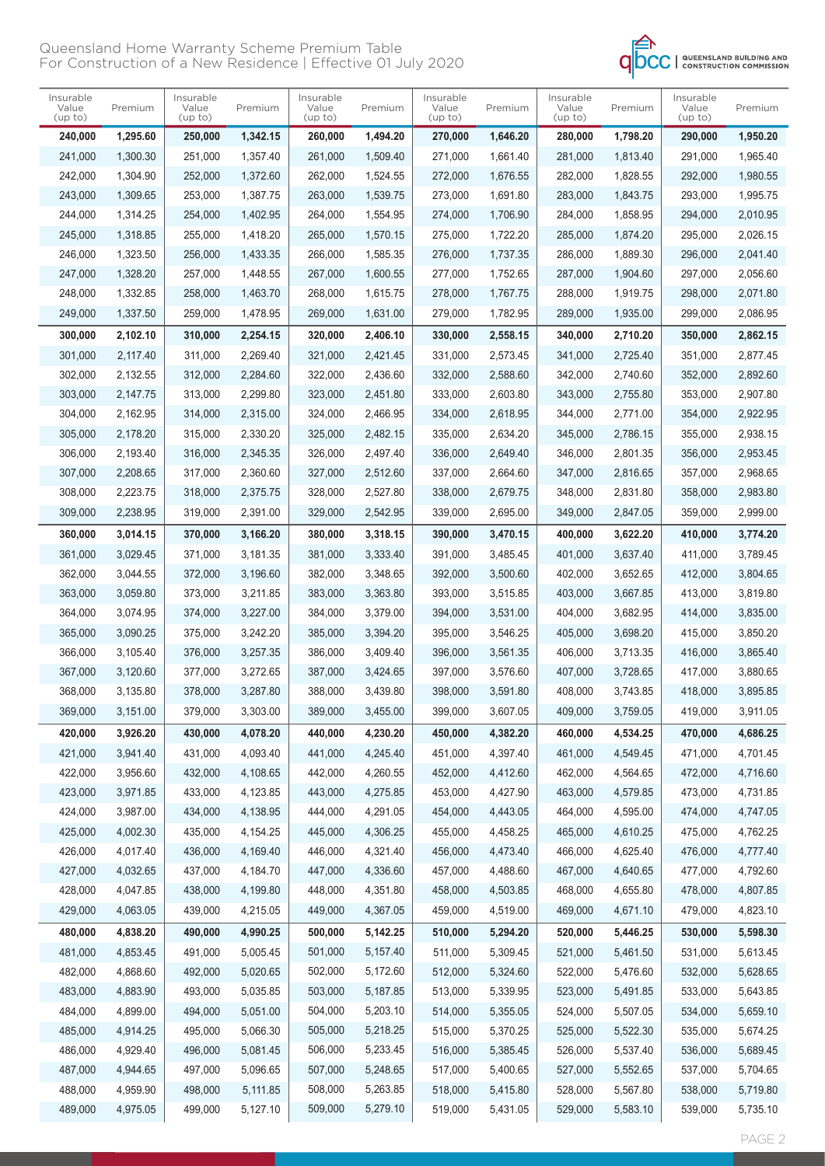#### Insurable Value (up to) Premium Insurable Value (up to) Premium Insurable Value (up to) Premium Insurable Value (up to) Premium Insurable Value (up to) Premium Insurable Value (up to) Premium  **240,000 1,295.60**  241,000 1,300.30 242,000 1,304.90 243,000 1,309.65 244,000 1,314.25 245,000 1,318.85 246,000 1,323.50 247,000 1,328.20 248,000 1,332.85 249,000 1,337.50  **250,000 1,342.15**  251,000 1,357.40 252,000 1,372.60 253,000 1,387.75 254,000 1,402.95 255,000 1,418.20 256,000 1,433.35 257,000 1,448.55 258,000 1,463.70 259,000 1,478.95  **260,000 1,494.20**  261,000 1,509.40 262,000 1,524.55 263,000 1,539.75 264,000 1,554.95 265,000 1,570.15 266,000 1,585.35 267,000 1,600.55 268,000 1,615.75 269,000 1,631.00  **270,000 1,646.20**  271,000 1,661.40 272,000 1,676.55 273,000 1,691.80 274,000 1,706.90 275,000 1,722.20 276,000 1,737.35 277,000 1,752.65 278,000 1,767.75 279,000 1,782.95  **280,000 1,798.20**  281,000 1,813.40 282,000 1,828.55 283,000 1,843.75 284,000 1,858.95 285,000 1,874.20 286,000 1,889.30 287,000 1,904.60 288,000 1,919.75 289,000 1,935.00  **290,000 1,950.20**  291,000 1,965.40 292,000 1,980.55 293,000 1,995.75 294,000 2,010.95 295,000 2,026.15 296,000 2,041.40 297,000 2,056.60 298,000 2,071.80 299,000 2,086.95  **300,000 2,102.10**  301,000 2,117.40 302,000 2,132.55 303,000 2,147.75 304,000 2,162.95 305,000 2,178.20 306,000 2,193.40 307,000 2,208.65 308,000 2,223.75 309,000 2,238.95  **310,000 2,254.15**  311,000 2,269.40 312,000 2,284.60 313,000 2,299.80 314,000 2,315.00 315,000 2,330.20 316,000 2,345.35 317,000 2,360.60 318,000 2,375.75 319,000 2,391.00  **320,000 2,406.10**  321,000 2,421.45 322,000 2,436.60 323,000 2,451.80 324,000 2,466.95 325,000 2,482.15 326,000 2,497.40 327,000 2,512.60 328,000 2,527.80 329,000 2,542.95  **330,000 2,558.15**  331,000 2,573.45 332,000 2,588.60 333,000 2,603.80 334,000 2,618.95 335,000 2,634.20 336,000 2,649.40 337,000 2,664.60 338,000 2,679.75 339,000 2,695.00  **340,000 2,710.20**  341,000 2,725.40 342,000 2,740.60 343,000 2,755.80 344,000 2,771.00 345,000 2,786.15 346,000 2,801.35 347,000 2,816.65 348,000 2,831.80 349,000 2,847.05  **350,000 2,862.15**  351,000 2,877.45 352,000 2,892.60 353,000 2,907.80 354,000 2,922.95 355,000 2,938.15 356,000 2,953.45 357,000 2,968.65 358,000 2,983.80 359,000 2,999.00  **360,000 3,014.15**  361,000 3,029.45 362,000 3,044.55 363,000 3,059.80 364,000 3,074.95 365,000 3,090.25 366,000 3,105.40 367,000 3,120.60 368,000 3,135.80 369,000 3,151.00  **370,000 3,166.20**  371,000 3,181.35 372,000 3,196.60 373,000 3,211.85 374,000 3,227.00 375,000 3,242.20 376,000 3,257.35 377,000 3,272.65 378,000 3,287.80 379,000 3,303.00  **380,000 3,318.15**  381,000 3,333.40 382,000 3,348.65 383,000 3,363.80 384,000 3,379.00 385,000 3,394.20 386,000 3,409.40 387,000 3,424.65 388,000 3,439.80 389,000 3,455.00  **390,000 3,470.15**  391,000 3,485.45 392,000 3,500.60 393,000 3,515.85 394,000 3,531.00 395,000 3,546.25 396,000 3,561.35 397,000 3,576.60 398,000 3,591.80 399,000 3,607.05  **400,000 3,622.20**  401,000 3,637.40 402,000 3,652.65 403,000 3,667.85 404,000 3,682.95 405,000 3,698.20 406,000 3,713.35 407,000 3,728.65 408,000 3,743.85 409,000 3,759.05  **410,000 3,774.20**  411,000 3,789.45 412,000 3,804.65 413,000 3,819.80 414,000 3,835.00 415,000 3,850.20 416,000 3,865.40 417,000 3,880.65 418,000 3,895.85 419,000 3,911.05  **420,000 3,926.20**  421,000 3,941.40 422,000 3,956.60 423,000 3,971.85 424,000 3,987.00 425,000 4,002.30 426,000 4,017.40 427,000 4,032.65 428,000 4,047.85 429,000 4,063.05  **430,000 4,078.20**  431,000 4,093.40 432,000 4,108.65 433,000 4,123.85 434,000 4,138.95 435,000 4,154.25 436,000 4,169.40 437,000 4,184.70 438,000 4,199.80 439,000 4,215.05  **440,000 4,230.20**  441,000 4,245.40 442,000 4,260.55 443,000 4,275.85 444,000 4,291.05 445,000 4,306.25 446,000 4,321.40 447,000 4,336.60 448,000 4,351.80 449,000 4,367.05  **450,000 4,382.20**  451,000 4,397.40 452,000 4,412.60 453,000 4,427.90 454,000 4,443.05 455,000 4,458.25 456,000 4,473.40 457,000 4,488.60 458,000 4,503.85 459,000 4,519.00  **460,000 4,534.25**  461,000 4,549.45 462,000 4,564.65 463,000 4,579.85 464,000 4,595.00 465,000 4,610.25 466,000 4,625.40 467,000 4,640.65 468,000 4,655.80 469,000 4,671.10  **470,000 4,686.25**  471,000 4,701.45 472,000 4,716.60 473,000 4,731.85 474,000 4,747.05 475,000 4,762.25 476,000 4,777.40 477,000 4,792.60 478,000 4,807.85 479,000 4,823.10  **480,000 4,838.20**  481,000 4,853.45 482,000 4,868.60 483,000 4,883.90 484,000 4,899.00 485,000 4,914.25 486,000 4,929.40 487,000 4,944.65 488,000 4,959,90 489,000 4,975.05  **490,000 4,990.25**  491,000 5,005.45 492,000 5,020.65 493,000 5,035.85 494,000 5,051.00 495,000 5,066.30 496,000 5,081.45 497,000 5,096.65 498,000 5,111.85 499,000 5,127.10  **500,000 5,142.25**  501,000 5,157.40 502,000 5,172.60 503,000 5,187.85 504,000 5,203.10 505,000 5,218.25 506,000 5,233.45 507,000 5,248.65 508,000 5,263.85 509,000 5,279.10  **510,000 5,294.20**  511,000 5,309.45 512,000 5,324.60 513,000 5,339.95 514,000 5,355.05 515,000 5,370.25 516,000 5,385.45 517,000 5,400.65 518,000 5,415.80 519,000 5,431.05  **520,000 5,446.25**  521,000 5,461.50 522,000 5,476.60 523,000 5,491.85 524,000 5,507.05 525,000 5,522.30 526,000 5,537.40 527,000 5,552.65 528,000 5,567.80 529,000 5,583.10  **530,000 5,598.30**  531,000 5,613.45 532,000 5,628.65 533,000 5,643.85 534,000 5,659.10 535,000 5,674.25 536,000 5,689.45 537,000 5,704.65 538,000 5,719.80 539,000 5,735.10

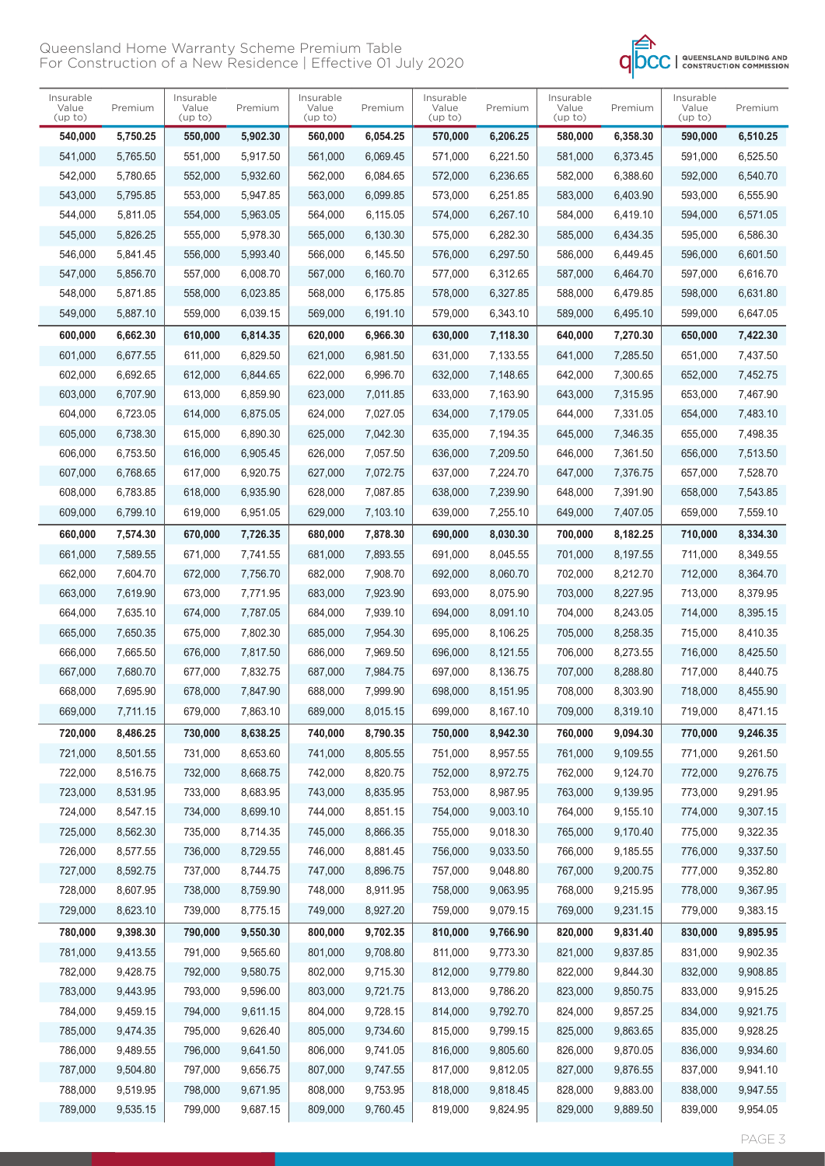

| Insurable        |          | Insurable        |          | Insurable        |          | Insurable        |          | Insurable        |          | Insurable        |          |
|------------------|----------|------------------|----------|------------------|----------|------------------|----------|------------------|----------|------------------|----------|
| Value<br>(up to) | Premium  | Value<br>(up to) | Premium  | Value<br>(up to) | Premium  | Value<br>(up to) | Premium  | Value<br>(up to) | Premium  | Value<br>(up to) | Premium  |
| 540,000          | 5,750.25 | 550,000          | 5,902.30 | 560,000          | 6,054.25 | 570,000          | 6,206.25 | 580,000          | 6,358.30 | 590,000          | 6,510.25 |
| 541,000          | 5.765.50 | 551,000          | 5,917.50 | 561,000          | 6.069.45 | 571,000          | 6.221.50 | 581,000          | 6,373.45 | 591,000          | 6,525.50 |
| 542,000          | 5,780.65 | 552,000          | 5.932.60 | 562,000          | 6,084.65 | 572,000          | 6,236.65 | 582,000          | 6,388.60 | 592,000          | 6,540.70 |
| 543,000          | 5,795.85 | 553,000          | 5,947.85 | 563,000          | 6,099.85 | 573,000          | 6,251.85 | 583,000          | 6,403.90 | 593,000          | 6,555.90 |
| 544,000          | 5,811.05 | 554,000          | 5,963.05 | 564,000          | 6,115.05 | 574,000          | 6,267.10 | 584,000          | 6,419.10 | 594,000          | 6,571.05 |
| 545,000          | 5,826.25 | 555,000          | 5,978.30 | 565,000          | 6,130.30 | 575,000          | 6,282.30 | 585,000          | 6,434.35 | 595,000          | 6,586.30 |
| 546,000          | 5,841.45 | 556,000          | 5,993.40 | 566,000          | 6.145.50 | 576,000          | 6,297.50 | 586.000          | 6,449.45 | 596,000          | 6,601.50 |
| 547,000          | 5,856.70 | 557,000          | 6,008.70 | 567,000          | 6,160.70 | 577,000          | 6,312.65 | 587,000          | 6,464.70 | 597,000          | 6,616.70 |
| 548,000          | 5,871.85 | 558,000          | 6,023.85 | 568,000          | 6,175.85 | 578,000          | 6,327.85 | 588,000          | 6,479.85 | 598,000          | 6,631.80 |
| 549,000          | 5,887.10 | 559,000          | 6,039.15 | 569,000          | 6,191.10 | 579,000          | 6,343.10 | 589,000          | 6,495.10 | 599,000          | 6,647.05 |
| 600,000          | 6,662.30 | 610,000          | 6,814.35 | 620,000          | 6,966.30 | 630,000          | 7,118.30 | 640,000          | 7,270.30 | 650,000          | 7,422.30 |
| 601,000          | 6,677.55 | 611,000          | 6,829.50 | 621,000          | 6,981.50 | 631,000          | 7,133.55 | 641,000          | 7,285.50 | 651,000          | 7,437.50 |
| 602,000          | 6,692.65 | 612,000          | 6.844.65 | 622,000          | 6,996.70 | 632,000          | 7.148.65 | 642,000          | 7,300.65 | 652,000          | 7,452.75 |
| 603,000          | 6,707.90 | 613,000          | 6,859.90 | 623,000          | 7,011.85 | 633,000          | 7,163.90 | 643,000          | 7,315.95 | 653,000          | 7,467.90 |
| 604,000          | 6,723.05 | 614,000          | 6,875.05 | 624,000          | 7,027.05 | 634,000          | 7,179.05 | 644,000          | 7,331.05 | 654,000          | 7,483.10 |
| 605,000          | 6,738.30 | 615,000          | 6,890.30 | 625,000          | 7,042.30 | 635,000          | 7,194.35 | 645,000          | 7,346.35 | 655,000          | 7,498.35 |
| 606,000          | 6.753.50 | 616,000          | 6,905.45 | 626.000          | 7.057.50 | 636.000          | 7,209.50 | 646,000          | 7,361.50 | 656,000          | 7,513.50 |
| 607,000          | 6,768.65 | 617,000          | 6,920.75 | 627,000          | 7,072.75 | 637,000          | 7,224.70 | 647,000          | 7,376.75 | 657,000          | 7,528.70 |
| 608,000          | 6,783.85 | 618,000          | 6,935.90 | 628,000          | 7,087.85 | 638,000          | 7,239.90 | 648,000          | 7,391.90 | 658,000          | 7,543.85 |
| 609,000          | 6,799.10 | 619,000          | 6,951.05 | 629,000          | 7,103.10 | 639,000          | 7,255.10 | 649,000          | 7,407.05 | 659,000          | 7,559.10 |
| 660,000          | 7,574.30 | 670,000          | 7,726.35 | 680,000          | 7,878.30 | 690,000          | 8,030.30 | 700,000          | 8,182.25 | 710,000          | 8,334.30 |
| 661,000          | 7,589.55 | 671,000          | 7,741.55 | 681,000          | 7,893.55 | 691,000          | 8,045.55 | 701,000          | 8,197.55 | 711,000          | 8,349.55 |
| 662,000          | 7,604.70 | 672,000          | 7,756.70 | 682,000          | 7,908.70 | 692,000          | 8,060.70 | 702,000          | 8,212.70 | 712,000          | 8,364.70 |
| 663,000          | 7,619.90 | 673,000          | 7,771.95 | 683,000          | 7,923.90 | 693,000          | 8,075.90 | 703,000          | 8,227.95 | 713,000          | 8,379.95 |
| 664,000          | 7,635.10 | 674,000          | 7,787.05 | 684,000          | 7,939.10 | 694,000          | 8,091.10 | 704,000          | 8,243.05 | 714,000          | 8,395.15 |
| 665,000          | 7,650.35 | 675,000          | 7,802.30 | 685,000          | 7,954.30 | 695,000          | 8,106.25 | 705,000          | 8,258.35 | 715,000          | 8,410.35 |
| 666,000          | 7,665.50 | 676,000          | 7,817.50 | 686,000          | 7,969.50 | 696,000          | 8,121.55 | 706,000          | 8,273.55 | 716,000          | 8,425.50 |
| 667,000          | 7,680.70 | 677,000          | 7,832.75 | 687,000          | 7,984.75 | 697,000          | 8,136.75 | 707,000          | 8.288.80 | 717,000          | 8,440.75 |
| 668,000          | 7,695.90 | 678,000          | 7,847.90 | 688,000          | 7,999.90 | 698,000          | 8,151.95 | 708,000          | 8,303.90 | 718,000          | 8,455.90 |
| 669,000          | 7,711.15 | 679,000          | 7,863.10 | 689,000          | 8,015.15 | 699,000          | 8,167.10 | 709,000          | 8,319.10 | 719,000          | 8,471.15 |
| 720,000          | 8,486.25 | 730,000          | 8,638.25 | 740,000          | 8,790.35 | 750,000          | 8,942.30 | 760,000          | 9,094.30 | 770,000          | 9,246.35 |
| 721,000          | 8,501.55 | 731,000          | 8,653.60 | 741,000          | 8,805.55 | 751,000          | 8,957.55 | 761,000          | 9,109.55 | 771,000          | 9,261.50 |
| 722,000          | 8,516.75 | 732,000          | 8,668.75 | 742,000          | 8,820.75 | 752,000          | 8,972.75 | 762,000          | 9,124.70 | 772,000          | 9,276.75 |
| 723,000          | 8,531.95 | 733,000          | 8,683.95 | 743,000          | 8,835.95 | 753,000          | 8,987.95 | 763,000          | 9,139.95 | 773,000          | 9,291.95 |
| 724,000          | 8,547.15 | 734,000          | 8,699.10 | 744,000          | 8,851.15 | 754,000          | 9,003.10 | 764,000          | 9,155.10 | 774,000          | 9,307.15 |
| 725,000          | 8,562.30 | 735,000          | 8,714.35 | 745,000          | 8,866.35 | 755,000          | 9,018.30 | 765,000          | 9,170.40 | 775,000          | 9,322.35 |
| 726,000          | 8,577.55 | 736,000          | 8,729.55 | 746,000          | 8,881.45 | 756,000          | 9,033.50 | 766,000          | 9,185.55 | 776,000          | 9,337.50 |
| 727,000          | 8,592.75 | 737,000          | 8,744.75 | 747,000          | 8,896.75 | 757,000          | 9,048.80 | 767,000          | 9,200.75 | 777,000          | 9,352.80 |
| 728,000          | 8,607.95 | 738,000          | 8,759.90 | 748,000          | 8,911.95 | 758,000          | 9,063.95 | 768,000          | 9,215.95 | 778,000          | 9,367.95 |
| 729,000          | 8,623.10 | 739,000          | 8,775.15 | 749,000          | 8,927.20 | 759,000          | 9,079.15 | 769,000          | 9,231.15 | 779,000          | 9,383.15 |
| 780,000          | 9,398.30 | 790,000          | 9,550.30 | 800,000          | 9,702.35 | 810,000          | 9,766.90 | 820,000          | 9,831.40 | 830,000          | 9,895.95 |
| 781,000          | 9,413.55 | 791,000          | 9,565.60 | 801,000          | 9,708.80 | 811,000          | 9,773.30 | 821,000          | 9,837.85 | 831,000          | 9,902.35 |
| 782,000          | 9,428.75 | 792,000          | 9,580.75 | 802,000          | 9,715.30 | 812,000          | 9,779.80 | 822,000          | 9,844.30 | 832,000          | 9,908.85 |
| 783,000          | 9,443.95 | 793,000          | 9,596.00 | 803,000          | 9,721.75 | 813,000          | 9,786.20 | 823,000          | 9,850.75 | 833,000          | 9,915.25 |
| 784,000          | 9,459.15 | 794,000          | 9,611.15 | 804,000          | 9,728.15 | 814,000          | 9,792.70 | 824,000          | 9,857.25 | 834,000          | 9,921.75 |
| 785,000          | 9,474.35 | 795,000          | 9,626.40 | 805,000          | 9,734.60 | 815,000          | 9,799.15 | 825,000          | 9,863.65 | 835,000          | 9,928.25 |
| 786,000          | 9,489.55 | 796,000          | 9,641.50 | 806,000          | 9,741.05 | 816,000          | 9,805.60 | 826,000          | 9,870.05 | 836,000          | 9,934.60 |
| 787,000          | 9,504.80 | 797,000          | 9,656.75 | 807,000          | 9,747.55 | 817,000          | 9,812.05 | 827,000          | 9,876.55 | 837,000          | 9,941.10 |
| 788,000          | 9,519.95 | 798,000          | 9,671.95 | 808,000          | 9,753.95 | 818,000          | 9,818.45 | 828,000          | 9,883.00 | 838,000          | 9,947.55 |
| 789,000          | 9,535.15 | 799,000          | 9,687.15 | 809,000          | 9,760.45 | 819,000          | 9,824.95 | 829,000          | 9,889.50 | 839,000          | 9,954.05 |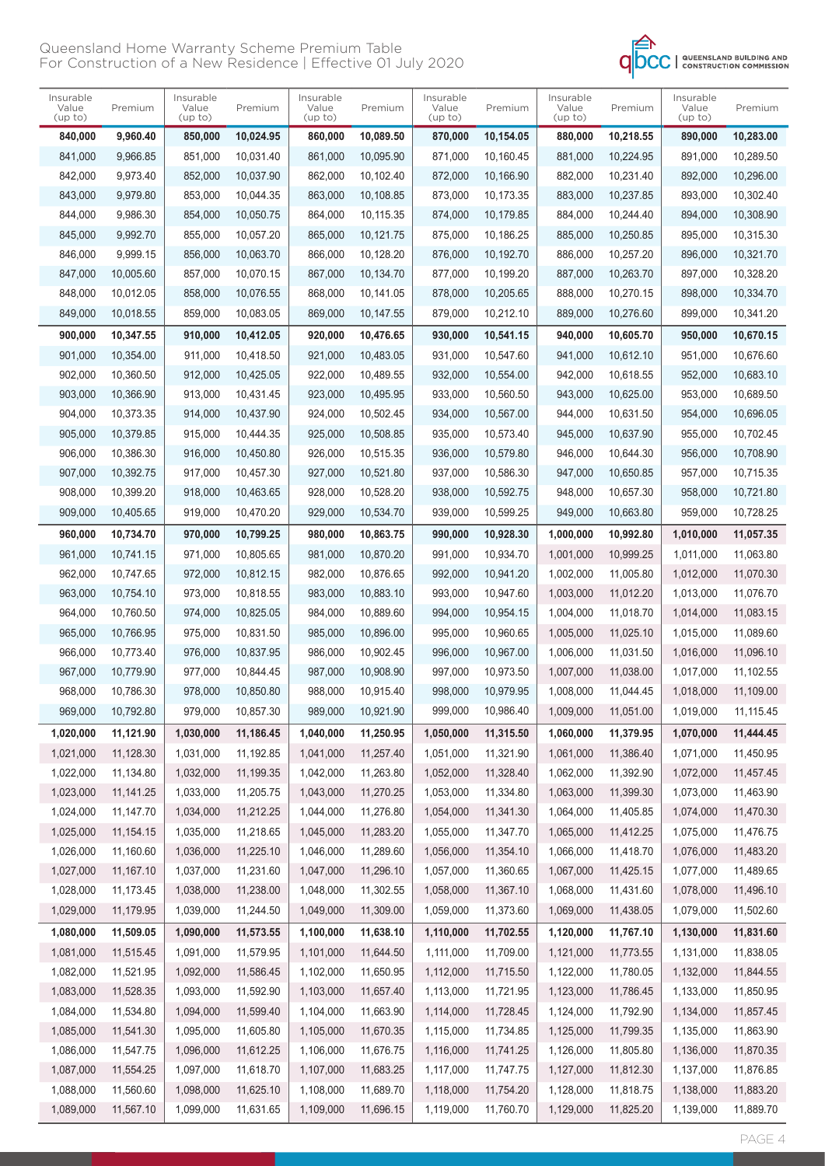

| Insurable<br>Value<br>(up to) | Premium   | Insurable<br>Value<br>(up to) | Premium   | Insurable<br>Value<br>(up to) | Premium   | Insurable<br>Value<br>(up to) | Premium   | Insurable<br>Value<br>(up to) | Premium   | Insurable<br>Value<br>(up to) | Premium   |
|-------------------------------|-----------|-------------------------------|-----------|-------------------------------|-----------|-------------------------------|-----------|-------------------------------|-----------|-------------------------------|-----------|
| 840,000                       | 9,960.40  | 850,000                       | 10,024.95 | 860,000                       | 10,089.50 | 870,000                       | 10,154.05 | 880,000                       | 10,218.55 | 890,000                       | 10,283.00 |
| 841,000                       | 9,966.85  | 851,000                       | 10,031.40 | 861,000                       | 10,095.90 | 871,000                       | 10.160.45 | 881,000                       | 10,224.95 | 891,000                       | 10,289.50 |
| 842,000                       | 9,973.40  | 852,000                       | 10,037.90 | 862,000                       | 10,102.40 | 872,000                       | 10,166.90 | 882,000                       | 10,231.40 | 892,000                       | 10,296.00 |
| 843,000                       | 9,979.80  | 853,000                       | 10,044.35 | 863,000                       | 10,108.85 | 873,000                       | 10,173.35 | 883,000                       | 10,237.85 | 893,000                       | 10,302.40 |
| 844,000                       | 9,986.30  | 854,000                       | 10,050.75 | 864,000                       | 10,115.35 | 874,000                       | 10,179.85 | 884,000                       | 10,244.40 | 894,000                       | 10,308.90 |
| 845,000                       | 9,992.70  | 855,000                       | 10,057.20 | 865,000                       | 10.121.75 | 875,000                       | 10,186.25 | 885,000                       | 10,250.85 | 895,000                       | 10,315.30 |
| 846,000                       | 9,999.15  | 856,000                       | 10,063.70 | 866,000                       | 10,128.20 | 876,000                       | 10,192.70 | 886.000                       | 10,257.20 | 896,000                       | 10,321.70 |
| 847,000                       | 10,005.60 | 857,000                       | 10,070.15 | 867,000                       | 10,134.70 | 877,000                       | 10,199.20 | 887,000                       | 10,263.70 | 897,000                       | 10,328.20 |
| 848,000                       | 10,012.05 | 858,000                       | 10,076.55 | 868,000                       | 10,141.05 | 878,000                       | 10,205.65 | 888,000                       | 10,270.15 | 898,000                       | 10,334.70 |
| 849,000                       | 10,018.55 | 859,000                       | 10,083.05 | 869,000                       | 10,147.55 | 879,000                       | 10,212.10 | 889,000                       | 10,276.60 | 899,000                       | 10,341.20 |
| 900,000                       | 10,347.55 | 910,000                       | 10,412.05 | 920,000                       | 10,476.65 | 930,000                       | 10,541.15 | 940,000                       | 10,605.70 | 950,000                       | 10,670.15 |
| 901,000                       | 10,354.00 | 911,000                       | 10.418.50 | 921,000                       | 10.483.05 | 931,000                       | 10,547.60 | 941.000                       | 10,612.10 | 951,000                       | 10,676.60 |
| 902,000                       | 10,360.50 | 912,000                       | 10,425.05 | 922,000                       | 10,489.55 | 932,000                       | 10,554.00 | 942,000                       | 10,618.55 | 952,000                       | 10,683.10 |
| 903,000                       | 10,366.90 | 913,000                       | 10,431.45 | 923,000                       | 10,495.95 | 933,000                       | 10,560.50 | 943,000                       | 10,625.00 | 953,000                       | 10,689.50 |
| 904,000                       | 10,373.35 | 914,000                       | 10,437.90 | 924,000                       | 10,502.45 | 934,000                       | 10.567.00 | 944,000                       | 10,631.50 | 954,000                       | 10,696.05 |
| 905,000                       | 10,379.85 | 915,000                       | 10,444.35 | 925,000                       | 10,508.85 | 935,000                       | 10,573.40 | 945,000                       | 10,637.90 | 955,000                       | 10,702.45 |
| 906,000                       | 10,386.30 | 916,000                       | 10.450.80 | 926,000                       | 10,515.35 | 936.000                       | 10,579.80 | 946,000                       | 10,644.30 | 956,000                       | 10,708.90 |
| 907,000                       | 10,392.75 | 917,000                       | 10,457.30 | 927,000                       | 10,521.80 | 937,000                       | 10,586.30 | 947,000                       | 10,650.85 | 957,000                       | 10,715.35 |
| 908,000                       | 10,399.20 | 918,000                       | 10,463.65 | 928,000                       | 10,528.20 | 938,000                       | 10,592.75 | 948,000                       | 10,657.30 | 958,000                       | 10,721.80 |
| 909,000                       | 10,405.65 | 919,000                       | 10,470.20 | 929,000                       | 10,534.70 | 939,000                       | 10,599.25 | 949,000                       | 10,663.80 | 959,000                       | 10,728.25 |
| 960,000                       | 10,734.70 | 970,000                       | 10,799.25 | 980,000                       | 10,863.75 | 990,000                       | 10,928.30 | 1,000,000                     | 10,992.80 | 1,010,000                     | 11,057.35 |
| 961,000                       | 10,741.15 | 971,000                       | 10,805.65 | 981,000                       | 10,870.20 | 991,000                       | 10,934.70 | 1,001,000                     | 10,999.25 | 1,011,000                     | 11,063.80 |
| 962,000                       | 10,747.65 | 972,000                       | 10,812.15 | 982,000                       | 10,876.65 | 992,000                       | 10,941.20 | 1,002,000                     | 11,005.80 | 1,012,000                     | 11,070.30 |
| 963,000                       | 10,754.10 | 973,000                       | 10,818.55 | 983,000                       | 10,883.10 | 993,000                       | 10,947.60 | 1,003,000                     | 11,012.20 | 1,013,000                     | 11,076.70 |
| 964,000                       | 10,760.50 | 974,000                       | 10,825.05 | 984,000                       | 10,889.60 | 994,000                       | 10,954.15 | 1,004,000                     | 11,018.70 | 1,014,000                     | 11,083.15 |
| 965,000                       | 10,766.95 | 975,000                       | 10,831.50 | 985,000                       | 10,896.00 | 995,000                       | 10,960.65 | 1,005,000                     | 11,025.10 | 1,015,000                     | 11,089.60 |
| 966,000                       | 10,773.40 | 976,000                       | 10,837.95 | 986,000                       | 10,902.45 | 996,000                       | 10,967.00 | 1,006,000                     | 11,031.50 | 1,016,000                     | 11,096.10 |
| 967,000                       | 10,779.90 | 977,000                       | 10,844.45 | 987,000                       | 10.908.90 | 997,000                       | 10,973.50 | 1,007,000                     | 11,038.00 | 1,017,000                     | 11,102.55 |
| 968,000                       | 10,786.30 | 978,000                       | 10,850.80 | 988,000                       | 10,915.40 | 998,000                       | 10,979.95 | 1.008.000                     | 11,044.45 | 1,018,000                     | 11,109.00 |
| 969,000                       | 10,792.80 | 979,000                       | 10,857.30 | 989,000                       | 10,921.90 | 999,000                       | 10,986.40 | 1,009,000                     | 11,051.00 | 1,019,000                     | 11,115.45 |
| 1,020,000                     | 11,121.90 | 1,030,000                     | 11,186.45 | 1,040,000                     | 11,250.95 | 1,050,000                     | 11,315.50 | 1,060,000                     | 11,379.95 | 1,070,000                     | 11,444.45 |
| 1,021,000                     | 11,128.30 | 1,031,000                     | 11,192.85 | 1,041,000                     | 11,257.40 | 1,051,000                     | 11,321.90 | 1,061,000                     | 11,386.40 | 1,071,000                     | 11,450.95 |
| 1,022,000                     | 11,134.80 | 1,032,000                     | 11,199.35 | 1,042,000                     | 11,263.80 | 1,052,000                     | 11,328.40 | 1,062,000                     | 11,392.90 | 1,072,000                     | 11,457.45 |
| 1,023,000                     | 11,141.25 | 1,033,000                     | 11,205.75 | 1,043,000                     | 11,270.25 | 1,053,000                     | 11,334.80 | 1,063,000                     | 11,399.30 | 1,073,000                     | 11,463.90 |
| 1,024,000                     | 11,147.70 | 1,034,000                     | 11,212.25 | 1,044,000                     | 11,276.80 | 1,054,000                     | 11,341.30 | 1,064,000                     | 11,405.85 | 1,074,000                     | 11,470.30 |
| 1,025,000                     | 11,154.15 | 1,035,000                     | 11,218.65 | 1,045,000                     | 11,283.20 | 1,055,000                     | 11,347.70 | 1,065,000                     | 11,412.25 | 1,075,000                     | 11,476.75 |
| 1,026,000                     | 11,160.60 | 1,036,000                     | 11,225.10 | 1,046,000                     | 11,289.60 | 1,056,000                     | 11,354.10 | 1,066,000                     | 11,418.70 | 1,076,000                     | 11,483.20 |
| 1,027,000                     | 11,167.10 | 1,037,000                     | 11,231.60 | 1,047,000                     | 11,296.10 | 1,057,000                     | 11,360.65 | 1,067,000                     | 11,425.15 | 1,077,000                     | 11,489.65 |
| 1,028,000                     | 11,173.45 | 1,038,000                     | 11,238.00 | 1,048,000                     | 11,302.55 | 1,058,000                     | 11,367.10 | 1,068,000                     | 11,431.60 | 1,078,000                     | 11,496.10 |
| 1,029,000                     | 11,179.95 | 1,039,000                     | 11,244.50 | 1,049,000                     | 11,309.00 | 1,059,000                     | 11,373.60 | 1,069,000                     | 11,438.05 | 1,079,000                     | 11,502.60 |
| 1,080,000                     | 11,509.05 | 1,090,000                     | 11,573.55 | 1,100,000                     | 11,638.10 | 1,110,000                     | 11,702.55 | 1,120,000                     | 11,767.10 | 1,130,000                     | 11,831.60 |
| 1,081,000                     | 11,515.45 | 1,091,000                     | 11,579.95 | 1,101,000                     | 11,644.50 | 1,111,000                     | 11,709.00 | 1,121,000                     | 11,773.55 | 1,131,000                     | 11,838.05 |
| 1,082,000                     | 11,521.95 | 1,092,000                     | 11,586.45 | 1,102,000                     | 11,650.95 | 1,112,000                     | 11,715.50 | 1,122,000                     | 11,780.05 | 1,132,000                     | 11,844.55 |
| 1,083,000                     | 11,528.35 | 1,093,000                     | 11,592.90 | 1,103,000                     | 11,657.40 | 1,113,000                     | 11,721.95 | 1,123,000                     | 11,786.45 | 1,133,000                     | 11,850.95 |
| 1,084,000                     | 11,534.80 | 1,094,000                     | 11,599.40 | 1,104,000                     | 11,663.90 | 1,114,000                     | 11,728.45 | 1,124,000                     | 11,792.90 | 1,134,000                     | 11,857.45 |
| 1,085,000                     | 11,541.30 | 1,095,000                     | 11,605.80 | 1,105,000                     | 11,670.35 | 1,115,000                     | 11,734.85 | 1,125,000                     | 11,799.35 | 1,135,000                     | 11,863.90 |
| 1,086,000                     | 11,547.75 | 1,096,000                     | 11,612.25 | 1,106,000                     | 11,676.75 | 1,116,000                     | 11,741.25 | 1,126,000                     | 11,805.80 | 1,136,000                     | 11,870.35 |
| 1,087,000                     | 11,554.25 | 1,097,000                     | 11,618.70 | 1,107,000                     | 11,683.25 | 1,117,000                     | 11,747.75 | 1,127,000                     | 11,812.30 | 1,137,000                     | 11,876.85 |
| 1,088,000                     | 11,560.60 | 1,098,000                     | 11,625.10 | 1,108,000                     | 11,689.70 | 1,118,000                     | 11,754.20 | 1,128,000                     | 11,818.75 | 1,138,000                     | 11,883.20 |
| 1,089,000                     | 11,567.10 | 1,099,000                     | 11,631.65 | 1,109,000                     | 11,696.15 | 1,119,000                     | 11,760.70 | 1,129,000                     | 11,825.20 | 1,139,000                     | 11,889.70 |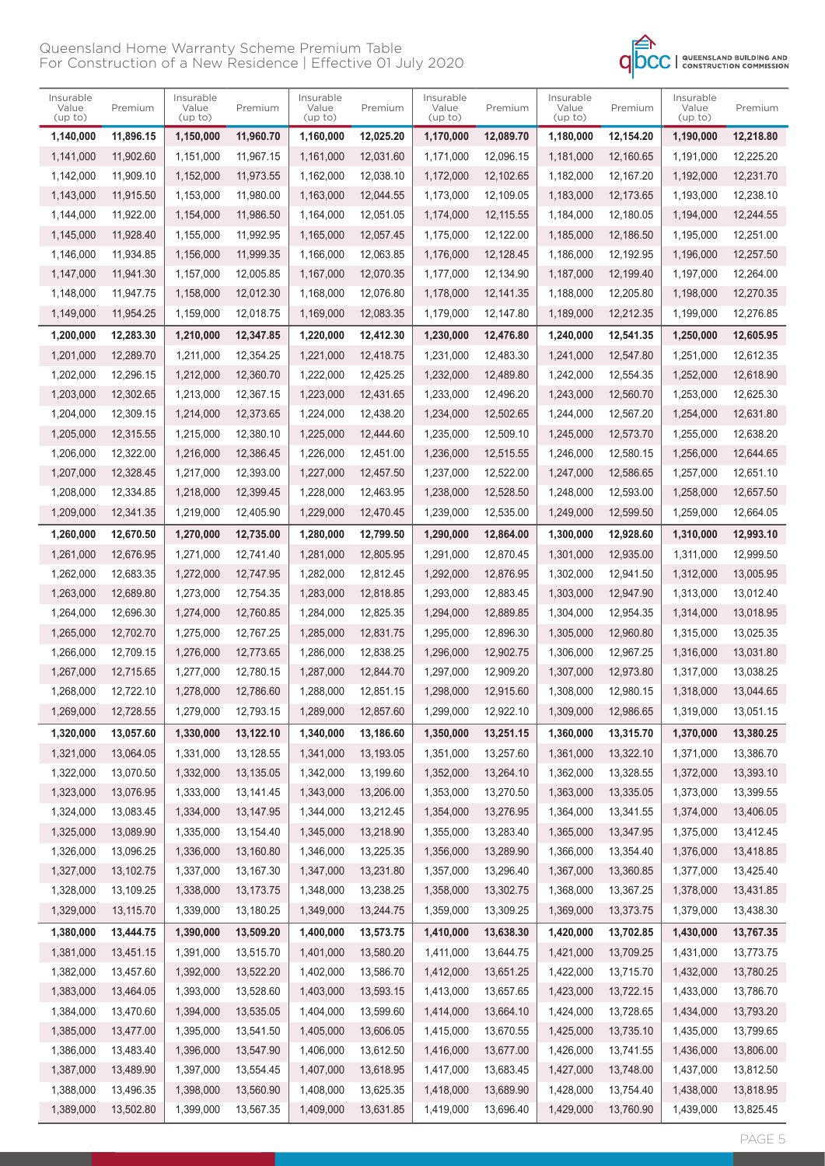

| Insurable<br>Value<br>(up to) | Premium   | Insurable<br>Value<br>(up to) | Premium     | Insurable<br>Value<br>(up to) | Premium   | Insurable<br>Value<br>(up to) | Premium   | Insurable<br>Value<br>(up to) | Premium   | Insurable<br>Value<br>(up to) | Premium   |
|-------------------------------|-----------|-------------------------------|-------------|-------------------------------|-----------|-------------------------------|-----------|-------------------------------|-----------|-------------------------------|-----------|
| 1,140,000                     | 11,896.15 | 1,150,000                     | 11,960.70   | 1,160,000                     | 12,025.20 | 1,170,000                     | 12,089.70 | 1,180,000                     | 12,154.20 | 1,190,000                     | 12,218.80 |
| 1,141,000                     | 11.902.60 | 1,151,000                     | 11,967.15   | 1,161,000                     | 12,031.60 | 1,171,000                     | 12,096.15 | 1.181.000                     | 12.160.65 | 1,191,000                     | 12,225.20 |
| 1,142,000                     | 11.909.10 | 1,152,000                     | 11,973.55   | 1,162,000                     | 12,038.10 | 1,172,000                     | 12,102.65 | 1,182,000                     | 12,167.20 | 1,192,000                     | 12,231.70 |
| 1,143,000                     | 11,915.50 | 1,153,000                     | 11,980.00   | 1,163,000                     | 12,044.55 | 1,173,000                     | 12,109.05 | 1,183,000                     | 12,173.65 | 1,193,000                     | 12,238.10 |
| 1,144,000                     | 11,922.00 | 1,154,000                     | 11,986.50   | 1,164,000                     | 12,051.05 | 1,174,000                     | 12,115.55 | 1,184,000                     | 12,180.05 | 1,194,000                     | 12,244.55 |
| 1,145,000                     | 11,928.40 | 1,155,000                     | 11,992.95   | 1,165,000                     | 12.057.45 | 1,175,000                     | 12,122.00 | 1,185,000                     | 12,186.50 | 1,195,000                     | 12,251.00 |
| 1,146,000                     | 11,934.85 | 1,156,000                     | 11,999.35   | 1,166,000                     | 12,063.85 | 1,176,000                     | 12,128.45 | 1,186,000                     | 12,192.95 | 1,196,000                     | 12,257.50 |
| 1,147,000                     | 11,941.30 | 1,157,000                     | 12,005.85   | 1,167,000                     | 12,070.35 | 1,177,000                     | 12,134.90 | 1,187,000                     | 12,199.40 | 1,197,000                     | 12,264.00 |
| 1,148,000                     | 11,947.75 | 1,158,000                     | 12,012.30   | 1,168,000                     | 12,076.80 | 1,178,000                     | 12,141.35 | 1,188,000                     | 12,205.80 | 1,198,000                     | 12,270.35 |
| 1,149,000                     | 11,954.25 | 1,159,000                     | 12,018.75   | 1,169,000                     | 12,083.35 | 1,179,000                     | 12,147.80 | 1,189,000                     | 12,212.35 | 1,199,000                     | 12,276.85 |
| 1,200,000                     | 12,283.30 | 1,210,000                     | 12,347.85   | 1,220,000                     | 12,412.30 | 1,230,000                     | 12,476.80 | 1,240,000                     | 12,541.35 | 1,250,000                     | 12,605.95 |
| 1,201,000                     | 12,289.70 | 1,211,000                     | 12,354.25   | 1,221,000                     | 12,418.75 | 1.231.000                     | 12,483.30 | 1,241,000                     | 12,547.80 | 1,251,000                     | 12,612.35 |
| 1,202,000                     | 12,296.15 | 1,212,000                     | 12,360.70   | 1,222,000                     | 12,425.25 | 1,232,000                     | 12,489.80 | 1,242,000                     | 12,554.35 | 1,252,000                     | 12,618.90 |
| 1,203,000                     | 12,302.65 | 1,213,000                     | 12,367.15   | 1,223,000                     | 12,431.65 | 1,233,000                     | 12,496.20 | 1,243,000                     | 12,560.70 | 1,253,000                     | 12,625.30 |
| 1,204,000                     | 12,309.15 | 1,214,000                     | 12,373.65   | 1,224,000                     | 12,438.20 | 1,234,000                     | 12,502.65 | 1,244,000                     | 12,567.20 | 1,254,000                     | 12,631.80 |
| 1,205,000                     | 12,315.55 | 1,215,000                     | 12,380.10   | 1,225,000                     | 12.444.60 | 1,235,000                     | 12,509.10 | 1,245,000                     | 12,573.70 | 1,255,000                     | 12,638.20 |
| 1.206.000                     | 12,322.00 | 1,216,000                     | 12,386.45   | 1,226,000                     | 12,451.00 | 1,236,000                     | 12,515.55 | 1,246,000                     | 12.580.15 | 1,256,000                     | 12,644.65 |
| 1,207,000                     | 12,328.45 | 1,217,000                     | 12,393.00   | 1,227,000                     | 12.457.50 | 1,237,000                     | 12,522.00 | 1,247,000                     | 12,586.65 | 1,257,000                     | 12,651.10 |
| 1,208,000                     | 12,334.85 | 1,218,000                     | 12,399.45   | 1,228,000                     | 12,463.95 | 1,238,000                     | 12,528.50 | 1,248,000                     | 12,593.00 | 1,258,000                     | 12,657.50 |
| 1,209,000                     | 12,341.35 | 1,219,000                     | 12,405.90   | 1,229,000                     | 12,470.45 | 1,239,000                     | 12,535.00 | 1,249,000                     | 12,599.50 | 1,259,000                     | 12,664.05 |
| 1,260,000                     | 12,670.50 | 1,270,000                     | 12,735.00   | 1,280,000                     | 12,799.50 | 1,290,000                     | 12,864.00 | 1,300,000                     | 12,928.60 | 1,310,000                     | 12,993.10 |
| 1,261,000                     | 12,676.95 | 1,271,000                     | 12,741.40   | 1,281,000                     | 12,805.95 | 1,291,000                     | 12,870.45 | 1,301,000                     | 12,935.00 | 1,311,000                     | 12,999.50 |
| 1,262,000                     | 12,683.35 | 1,272,000                     | 12,747.95   | 1,282,000                     | 12,812.45 | 1,292,000                     | 12,876.95 | 1,302,000                     | 12,941.50 | 1,312,000                     | 13,005.95 |
| 1,263,000                     | 12,689.80 | 1,273,000                     | 12,754.35   | 1,283,000                     | 12,818.85 | 1,293,000                     | 12,883.45 | 1,303,000                     | 12,947.90 | 1,313,000                     | 13,012.40 |
| 1,264,000                     | 12,696.30 | 1,274,000                     | 12,760.85   | 1,284,000                     | 12,825.35 | 1,294,000                     | 12,889.85 | 1,304,000                     | 12,954.35 | 1,314,000                     | 13,018.95 |
| 1,265,000                     | 12.702.70 | 1,275,000                     | 12.767.25   | 1,285,000                     | 12,831.75 | 1,295,000                     | 12,896.30 | 1,305,000                     | 12,960.80 | 1,315,000                     | 13,025.35 |
| 1,266,000                     | 12,709.15 | 1,276,000                     | 12,773.65   | 1.286.000                     | 12,838.25 | 1,296,000                     | 12,902.75 | 1,306,000                     | 12,967.25 | 1,316,000                     | 13,031.80 |
| 1,267,000                     | 12,715.65 | 1,277,000                     | 12,780.15   | 1,287,000                     | 12,844.70 | 1,297,000                     | 12,909.20 | 1,307,000                     | 12.973.80 | 1,317,000                     | 13,038.25 |
| 1,268,000                     | 12,722.10 | 1,278,000                     | 12,786.60   | 1,288,000                     | 12,851.15 | 1,298,000                     | 12,915.60 | 1,308,000                     | 12,980.15 | 1,318,000                     | 13,044.65 |
| 1,269,000                     | 12,728.55 | 1,279,000                     | 12,793.15   | 1,289,000                     | 12,857.60 | 1,299,000                     | 12,922.10 | 1,309,000                     | 12,986.65 | 1,319,000                     | 13,051.15 |
| 1,320,000                     | 13,057.60 | 1,330,000                     | 13,122.10   | 1,340,000                     | 13,186.60 | 1,350,000                     | 13,251.15 | 1,360,000                     | 13,315.70 | 1,370,000                     | 13,380.25 |
| 1,321,000                     | 13,064.05 | 1,331,000                     | 13,128.55   | 1,341,000                     | 13,193.05 | 1,351,000                     | 13,257.60 | 1,361,000                     | 13,322.10 | 1,371,000                     | 13,386.70 |
| 1,322,000                     | 13,070.50 | 1,332,000                     | 13,135.05   | 1,342,000                     | 13,199.60 | 1,352,000                     | 13,264.10 | 1,362,000                     | 13,328.55 | 1,372,000                     | 13,393.10 |
| 1,323,000                     | 13,076.95 | 1,333,000                     | 13,141.45   | 1,343,000                     | 13,206.00 | 1,353,000                     | 13,270.50 | 1,363,000                     | 13,335.05 | 1,373,000                     | 13,399.55 |
| 1,324,000                     | 13,083.45 | 1,334,000                     | 13, 147.95  | 1,344,000                     | 13,212.45 | 1,354,000                     | 13,276.95 | 1,364,000                     | 13,341.55 | 1,374,000                     | 13,406.05 |
| 1,325,000                     | 13,089.90 | 1,335,000                     | 13,154.40   | 1,345,000                     | 13,218.90 | 1,355,000                     | 13,283.40 | 1,365,000                     | 13,347.95 | 1,375,000                     | 13,412.45 |
| 1,326,000                     | 13,096.25 | 1,336,000                     | 13,160.80   | 1,346,000                     | 13,225.35 | 1,356,000                     | 13,289.90 | 1,366,000                     | 13,354.40 | 1,376,000                     | 13,418.85 |
| 1,327,000                     | 13,102.75 | 1,337,000                     | 13,167.30   | 1,347,000                     | 13,231.80 | 1,357,000                     | 13,296.40 | 1,367,000                     | 13,360.85 | 1,377,000                     | 13,425.40 |
| 1,328,000                     | 13,109.25 | 1,338,000                     | 13, 173. 75 | 1,348,000                     | 13,238.25 | 1,358,000                     | 13,302.75 | 1,368,000                     | 13,367.25 | 1,378,000                     | 13,431.85 |
| 1,329,000                     | 13,115.70 | 1,339,000                     | 13,180.25   | 1,349,000                     | 13,244.75 | 1,359,000                     | 13,309.25 | 1,369,000                     | 13,373.75 | 1,379,000                     | 13,438.30 |
| 1,380,000                     | 13,444.75 | 1,390,000                     | 13,509.20   | 1,400,000                     | 13,573.75 | 1,410,000                     | 13,638.30 | 1,420,000                     | 13,702.85 | 1,430,000                     | 13,767.35 |
| 1,381,000                     | 13,451.15 | 1,391,000                     | 13,515.70   | 1,401,000                     | 13,580.20 | 1,411,000                     | 13,644.75 | 1,421,000                     | 13,709.25 | 1,431,000                     | 13,773.75 |
| 1,382,000                     | 13,457.60 | 1,392,000                     | 13,522.20   | 1,402,000                     | 13,586.70 | 1,412,000                     | 13,651.25 | 1,422,000                     | 13,715.70 | 1,432,000                     | 13,780.25 |
| 1,383,000                     | 13,464.05 | 1,393,000                     | 13,528.60   | 1,403,000                     | 13,593.15 | 1,413,000                     | 13,657.65 | 1,423,000                     | 13,722.15 | 1,433,000                     | 13,786.70 |
| 1,384,000                     | 13,470.60 | 1,394,000                     | 13,535.05   | 1,404,000                     | 13,599.60 | 1,414,000                     | 13,664.10 | 1,424,000                     | 13,728.65 | 1,434,000                     | 13,793.20 |
| 1,385,000                     | 13,477.00 | 1,395,000                     | 13,541.50   | 1,405,000                     | 13,606.05 | 1,415,000                     | 13,670.55 | 1,425,000                     | 13,735.10 | 1,435,000                     | 13,799.65 |
| 1,386,000                     | 13,483.40 | 1,396,000                     | 13,547.90   | 1,406,000                     | 13,612.50 | 1,416,000                     | 13,677.00 | 1,426,000                     | 13,741.55 | 1,436,000                     | 13,806.00 |
| 1,387,000                     | 13,489.90 | 1,397,000                     | 13,554.45   | 1,407,000                     | 13,618.95 | 1,417,000                     | 13,683.45 | 1,427,000                     | 13,748.00 | 1,437,000                     | 13,812.50 |
| 1,388,000                     | 13,496.35 | 1,398,000                     | 13,560.90   | 1,408,000                     | 13,625.35 | 1,418,000                     | 13,689.90 | 1,428,000                     | 13,754.40 | 1,438,000                     | 13,818.95 |
| 1,389,000                     | 13,502.80 | 1,399,000                     | 13,567.35   | 1,409,000                     | 13,631.85 | 1,419,000                     | 13,696.40 | 1,429,000                     | 13,760.90 | 1,439,000                     | 13,825.45 |

PAGE 5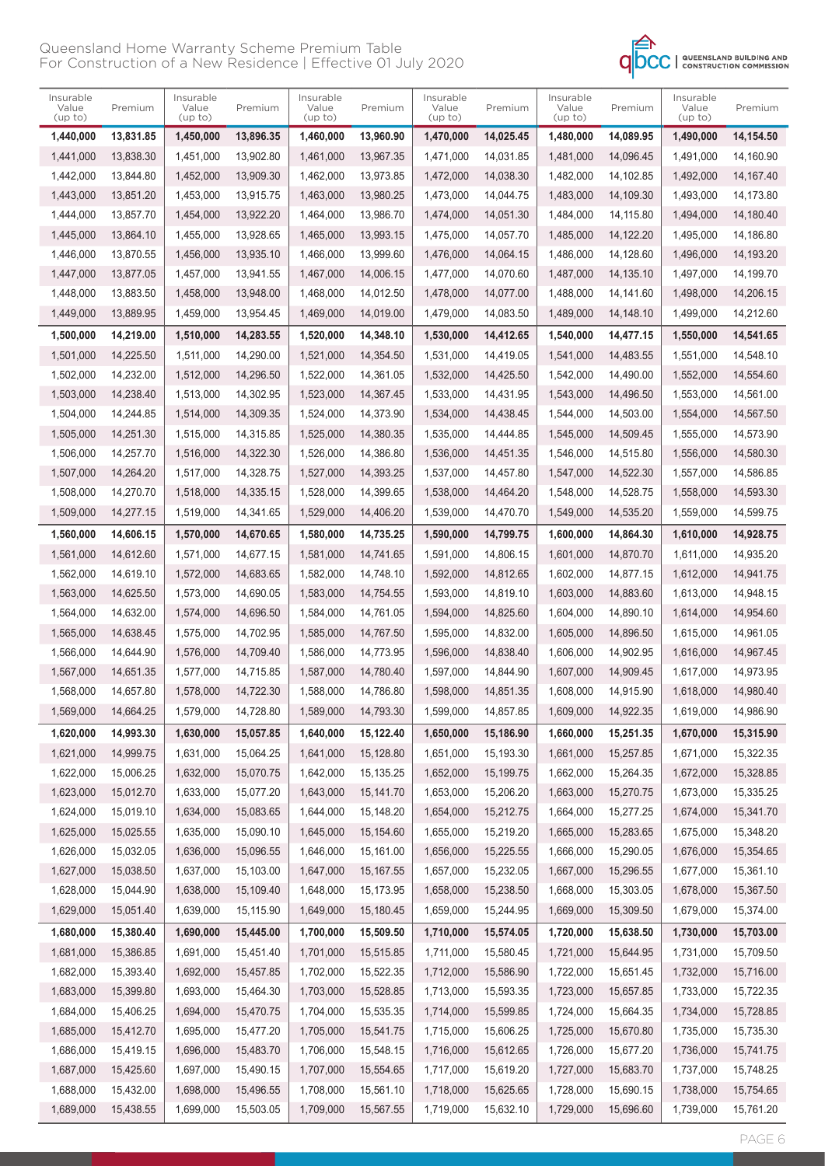

| Insurable<br>Value<br>(up to) | Premium   | Insurable<br>Value<br>(up to) | Premium   | Insurable<br>Value<br>(up to) | Premium    | Insurable<br>Value<br>(up to) | Premium   | Insurable<br>Value<br>(up to) | Premium   | Insurable<br>Value<br>(up to) | Premium   |
|-------------------------------|-----------|-------------------------------|-----------|-------------------------------|------------|-------------------------------|-----------|-------------------------------|-----------|-------------------------------|-----------|
| 1,440,000                     | 13,831.85 | 1,450,000                     | 13,896.35 | 1,460,000                     | 13,960.90  | 1,470,000                     | 14,025.45 | 1,480,000                     | 14,089.95 | 1,490,000                     | 14,154.50 |
| 1.441.000                     | 13,838.30 | 1,451,000                     | 13,902.80 | 1,461,000                     | 13,967.35  | 1,471,000                     | 14,031.85 | 1,481,000                     | 14,096.45 | 1,491,000                     | 14.160.90 |
| 1.442.000                     | 13.844.80 | 1,452,000                     | 13,909.30 | 1,462,000                     | 13,973.85  | 1,472,000                     | 14,038.30 | 1,482,000                     | 14,102.85 | 1,492,000                     | 14,167.40 |
| 1,443,000                     | 13,851.20 | 1,453,000                     | 13,915.75 | 1,463,000                     | 13,980.25  | 1,473,000                     | 14,044.75 | 1,483,000                     | 14,109.30 | 1,493,000                     | 14,173.80 |
| 1,444,000                     | 13,857.70 | 1,454,000                     | 13,922.20 | 1,464,000                     | 13,986.70  | 1,474,000                     | 14,051.30 | 1,484,000                     | 14,115.80 | 1,494,000                     | 14,180.40 |
| 1,445,000                     | 13,864.10 | 1,455,000                     | 13.928.65 | 1,465,000                     | 13,993.15  | 1,475,000                     | 14,057.70 | 1,485,000                     | 14,122.20 | 1,495,000                     | 14,186.80 |
| 1,446,000                     | 13,870.55 | 1,456,000                     | 13,935.10 | 1,466,000                     | 13,999.60  | 1,476,000                     | 14,064.15 | 1,486,000                     | 14,128.60 | 1,496,000                     | 14,193.20 |
| 1,447,000                     | 13,877.05 | 1,457,000                     | 13,941.55 | 1,467,000                     | 14,006.15  | 1,477,000                     | 14,070.60 | 1,487,000                     | 14,135.10 | 1,497,000                     | 14.199.70 |
| 1,448,000                     | 13,883.50 | 1,458,000                     | 13,948.00 | 1,468,000                     | 14,012.50  | 1,478,000                     | 14,077.00 | 1,488,000                     | 14,141.60 | 1,498,000                     | 14,206.15 |
| 1,449,000                     | 13,889.95 | 1,459,000                     | 13,954.45 | 1,469,000                     | 14,019.00  | 1,479,000                     | 14,083.50 | 1,489,000                     | 14,148.10 | 1,499,000                     | 14,212.60 |
| 1,500,000                     | 14,219.00 | 1,510,000                     | 14,283.55 | 1,520,000                     | 14,348.10  | 1,530,000                     | 14,412.65 | 1,540,000                     | 14,477.15 | 1,550,000                     | 14,541.65 |
| 1,501,000                     | 14,225.50 | 1,511,000                     | 14.290.00 | 1,521,000                     | 14,354.50  | 1,531,000                     | 14.419.05 | 1.541.000                     | 14.483.55 | 1,551,000                     | 14,548.10 |
| 1,502,000                     | 14.232.00 | 1,512,000                     | 14,296.50 | 1,522,000                     | 14,361.05  | 1,532,000                     | 14,425.50 | 1,542,000                     | 14,490.00 | 1,552,000                     | 14,554.60 |
| 1,503,000                     | 14.238.40 | 1,513,000                     | 14,302.95 | 1,523,000                     | 14,367.45  | 1,533,000                     | 14,431.95 | 1,543,000                     | 14,496.50 | 1.553.000                     | 14,561.00 |
| 1,504,000                     | 14,244.85 | 1,514,000                     | 14,309.35 | 1,524,000                     | 14,373.90  | 1,534,000                     | 14,438.45 | 1,544,000                     | 14,503.00 | 1,554,000                     | 14,567.50 |
| 1,505,000                     | 14,251.30 | 1,515,000                     | 14.315.85 | 1,525,000                     | 14,380.35  | 1,535,000                     | 14.444.85 | 1,545,000                     | 14,509.45 | 1,555,000                     | 14,573.90 |
| 1,506,000                     | 14,257.70 | 1,516,000                     | 14,322.30 | 1,526,000                     | 14,386.80  | 1,536,000                     | 14,451.35 | 1,546,000                     | 14,515.80 | 1,556,000                     | 14,580.30 |
| 1,507,000                     | 14,264.20 | 1,517,000                     | 14,328.75 | 1,527,000                     | 14,393.25  | 1,537,000                     | 14,457.80 | 1,547,000                     | 14,522.30 | 1,557,000                     | 14.586.85 |
| 1,508,000                     | 14,270.70 | 1,518,000                     | 14,335.15 | 1,528,000                     | 14,399.65  | 1,538,000                     | 14,464.20 | 1,548,000                     | 14,528.75 | 1,558,000                     | 14,593.30 |
| 1,509,000                     | 14,277.15 | 1,519,000                     | 14,341.65 | 1,529,000                     | 14,406.20  | 1,539,000                     | 14,470.70 | 1,549,000                     | 14,535.20 | 1,559,000                     | 14,599.75 |
| 1,560,000                     | 14,606.15 | 1,570,000                     | 14,670.65 | 1,580,000                     | 14,735.25  | 1,590,000                     | 14,799.75 | 1,600,000                     | 14,864.30 | 1,610,000                     | 14,928.75 |
| 1,561,000                     | 14,612.60 | 1,571,000                     | 14,677.15 | 1,581,000                     | 14,741.65  | 1,591,000                     | 14,806.15 | 1,601,000                     | 14,870.70 | 1,611,000                     | 14,935.20 |
| 1,562,000                     | 14,619.10 | 1,572,000                     | 14,683.65 | 1,582,000                     | 14,748.10  | 1,592,000                     | 14,812.65 | 1,602,000                     | 14,877.15 | 1,612,000                     | 14,941.75 |
| 1,563,000                     | 14,625.50 | 1,573,000                     | 14,690.05 | 1,583,000                     | 14,754.55  | 1,593,000                     | 14,819.10 | 1,603,000                     | 14,883.60 | 1,613,000                     | 14,948.15 |
| 1,564,000                     | 14,632.00 | 1,574,000                     | 14,696.50 | 1,584,000                     | 14,761.05  | 1,594,000                     | 14,825.60 | 1,604,000                     | 14,890.10 | 1,614,000                     | 14,954.60 |
| 1,565,000                     | 14,638.45 | 1,575,000                     | 14,702.95 | 1,585,000                     | 14,767.50  | 1,595,000                     | 14,832.00 | 1,605,000                     | 14,896.50 | 1,615,000                     | 14,961.05 |
| 1,566,000                     | 14,644.90 | 1,576,000                     | 14,709.40 | 1,586,000                     | 14,773.95  | 1,596,000                     | 14,838.40 | 1,606,000                     | 14,902.95 | 1,616,000                     | 14,967.45 |
| 1,567,000                     | 14,651.35 | 1,577,000                     | 14,715.85 | 1,587,000                     | 14,780.40  | 1,597,000                     | 14,844.90 | 1,607,000                     | 14,909.45 | 1,617,000                     | 14,973.95 |
| 1,568,000                     | 14,657.80 | 1,578,000                     | 14,722.30 | 1,588,000                     | 14,786.80  | 1,598,000                     | 14,851.35 | 1,608,000                     | 14,915.90 | 1.618.000                     | 14,980.40 |
| 1,569,000                     | 14,664.25 | 1,579,000                     | 14,728.80 | 1,589,000                     | 14,793.30  | 1,599,000                     | 14,857.85 | 1,609,000                     | 14,922.35 | 1,619,000                     | 14,986.90 |
| 1,620,000                     | 14,993.30 | 1,630,000                     | 15,057.85 | 1,640,000                     | 15,122.40  | 1,650,000                     | 15,186.90 | 1,660,000                     | 15,251.35 | 1,670,000                     | 15,315.90 |
| 1,621,000                     | 14,999.75 | 1,631,000                     | 15,064.25 | 1,641,000                     | 15,128.80  | 1,651,000                     | 15,193.30 | 1,661,000                     | 15,257.85 | 1,671,000                     | 15,322.35 |
| 1,622,000                     | 15,006.25 | 1,632,000                     | 15,070.75 | 1,642,000                     | 15,135.25  | 1,652,000                     | 15,199.75 | 1,662,000                     | 15,264.35 | 1,672,000                     | 15,328.85 |
| 1,623,000                     | 15,012.70 | 1,633,000                     | 15,077.20 | 1,643,000                     | 15,141.70  | 1,653,000                     | 15,206.20 | 1,663,000                     | 15,270.75 | 1,673,000                     | 15,335.25 |
| 1,624,000                     | 15,019.10 | 1,634,000                     | 15,083.65 | 1,644,000                     | 15,148.20  | 1,654,000                     | 15,212.75 | 1,664,000                     | 15,277.25 | 1,674,000                     | 15,341.70 |
| 1,625,000                     | 15,025.55 | 1,635,000                     | 15,090.10 | 1,645,000                     | 15,154.60  | 1,655,000                     | 15,219.20 | 1,665,000                     | 15,283.65 | 1,675,000                     | 15,348.20 |
| 1,626,000                     | 15,032.05 | 1,636,000                     | 15,096.55 | 1,646,000                     | 15,161.00  | 1,656,000                     | 15,225.55 | 1,666,000                     | 15,290.05 | 1,676,000                     | 15,354.65 |
| 1,627,000                     | 15,038.50 | 1,637,000                     | 15,103.00 | 1,647,000                     | 15, 167.55 | 1,657,000                     | 15,232.05 | 1,667,000                     | 15,296.55 | 1,677,000                     | 15,361.10 |
| 1,628,000                     | 15,044.90 | 1,638,000                     | 15,109.40 | 1,648,000                     | 15,173.95  | 1,658,000                     | 15,238.50 | 1,668,000                     | 15,303.05 | 1,678,000                     | 15,367.50 |
| 1,629,000                     | 15,051.40 | 1,639,000                     | 15,115.90 | 1,649,000                     | 15,180.45  | 1,659,000                     | 15,244.95 | 1,669,000                     | 15,309.50 | 1,679,000                     | 15,374.00 |
|                               |           |                               |           |                               |            |                               |           |                               |           |                               |           |
| 1,680,000                     | 15,380.40 | 1,690,000                     | 15,445.00 | 1,700,000                     | 15,509.50  | 1,710,000                     | 15,574.05 | 1,720,000                     | 15,638.50 | 1,730,000                     | 15,703.00 |
| 1,681,000                     | 15,386.85 | 1,691,000                     | 15,451.40 | 1,701,000                     | 15,515.85  | 1,711,000                     | 15,580.45 | 1,721,000                     | 15,644.95 | 1,731,000                     | 15,709.50 |
| 1,682,000                     | 15,393.40 | 1,692,000                     | 15,457.85 | 1,702,000                     | 15,522.35  | 1,712,000                     | 15,586.90 | 1,722,000                     | 15,651.45 | 1,732,000                     | 15,716.00 |
| 1,683,000                     | 15,399.80 | 1,693,000                     | 15,464.30 | 1,703,000                     | 15,528.85  | 1,713,000                     | 15,593.35 | 1,723,000                     | 15,657.85 | 1,733,000                     | 15,722.35 |
| 1,684,000                     | 15,406.25 | 1,694,000                     | 15,470.75 | 1,704,000                     | 15,535.35  | 1,714,000                     | 15,599.85 | 1,724,000                     | 15,664.35 | 1,734,000                     | 15,728.85 |
| 1,685,000                     | 15,412.70 | 1,695,000                     | 15,477.20 | 1,705,000                     | 15,541.75  | 1,715,000                     | 15,606.25 | 1,725,000                     | 15,670.80 | 1,735,000                     | 15,735.30 |
| 1,686,000                     | 15,419.15 | 1,696,000                     | 15,483.70 | 1,706,000                     | 15,548.15  | 1,716,000                     | 15,612.65 | 1,726,000                     | 15,677.20 | 1,736,000                     | 15,741.75 |
| 1,687,000                     | 15,425.60 | 1,697,000                     | 15,490.15 | 1,707,000                     | 15,554.65  | 1,717,000                     | 15,619.20 | 1,727,000                     | 15,683.70 | 1,737,000                     | 15,748.25 |
| 1,688,000                     | 15,432.00 | 1,698,000                     | 15,496.55 | 1,708,000                     | 15,561.10  | 1,718,000                     | 15,625.65 | 1,728,000                     | 15,690.15 | 1,738,000                     | 15,754.65 |
| 1,689,000                     | 15,438.55 | 1,699,000                     | 15,503.05 | 1,709,000                     | 15,567.55  | 1,719,000                     | 15,632.10 | 1,729,000                     | 15,696.60 | 1,739,000                     | 15,761.20 |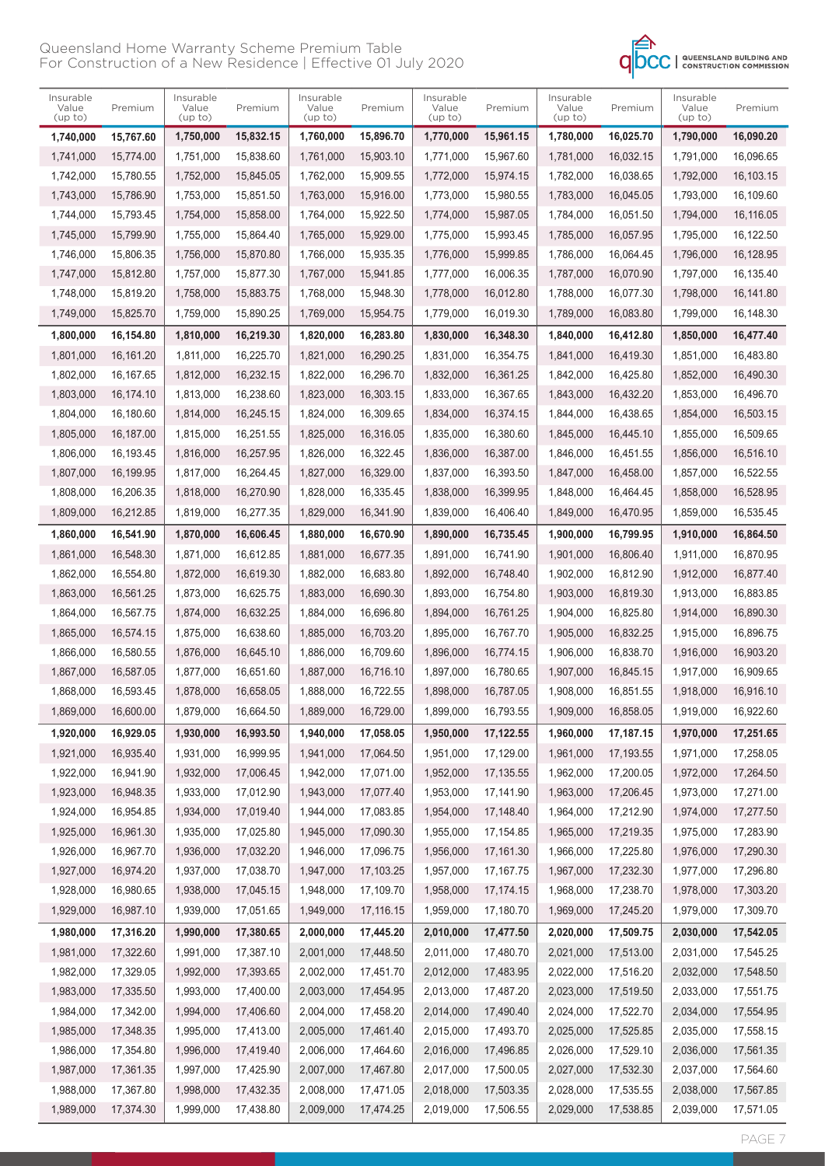

| Insurable<br>Value<br>(up to) | Premium   | Insurable<br>Value<br>(up to) | Premium   | Insurable<br>Value<br>(up to) | Premium   | Insurable<br>Value<br>(up to) | Premium   | Insurable<br>Value<br>(up to) | Premium   | Insurable<br>Value<br>(up to) | Premium   |
|-------------------------------|-----------|-------------------------------|-----------|-------------------------------|-----------|-------------------------------|-----------|-------------------------------|-----------|-------------------------------|-----------|
| 1,740,000                     | 15,767.60 | 1,750,000                     | 15,832.15 | 1,760,000                     | 15,896.70 | 1,770,000                     | 15,961.15 | 1,780,000                     | 16,025.70 | 1,790,000                     | 16,090.20 |
| 1,741,000                     | 15,774.00 | 1,751,000                     | 15,838.60 | 1,761,000                     | 15.903.10 | 1,771,000                     | 15,967.60 | 1.781.000                     | 16,032.15 | 1,791,000                     | 16,096.65 |
| 1,742,000                     | 15,780.55 | 1,752,000                     | 15,845.05 | 1,762,000                     | 15,909.55 | 1,772,000                     | 15,974.15 | 1,782,000                     | 16,038.65 | 1,792,000                     | 16,103.15 |
| 1,743,000                     | 15,786.90 | 1,753,000                     | 15,851.50 | 1,763,000                     | 15,916.00 | 1,773,000                     | 15,980.55 | 1,783,000                     | 16,045.05 | 1,793,000                     | 16,109.60 |
| 1,744,000                     | 15,793.45 | 1,754,000                     | 15,858.00 | 1,764,000                     | 15,922.50 | 1,774,000                     | 15,987.05 | 1,784,000                     | 16,051.50 | 1,794,000                     | 16,116.05 |
| 1.745.000                     | 15,799.90 | 1,755,000                     | 15,864.40 | 1,765,000                     | 15,929.00 | 1,775,000                     | 15,993.45 | 1,785,000                     | 16.057.95 | 1,795,000                     | 16,122.50 |
| 1,746,000                     | 15,806.35 | 1,756,000                     | 15,870.80 | 1,766,000                     | 15,935.35 | 1,776,000                     | 15,999.85 | 1,786,000                     | 16.064.45 | 1,796,000                     | 16,128.95 |
| 1,747,000                     | 15,812.80 | 1,757,000                     | 15,877.30 | 1,767,000                     | 15.941.85 | 1,777,000                     | 16,006.35 | 1,787,000                     | 16,070.90 | 1,797,000                     | 16,135.40 |
| 1,748,000                     | 15,819.20 | 1,758,000                     | 15,883.75 | 1,768,000                     | 15,948.30 | 1,778,000                     | 16,012.80 | 1,788,000                     | 16,077.30 | 1,798,000                     | 16,141.80 |
| 1,749,000                     | 15,825.70 | 1,759,000                     | 15,890.25 | 1,769,000                     | 15,954.75 | 1,779,000                     | 16,019.30 | 1,789,000                     | 16,083.80 | 1,799,000                     | 16,148.30 |
| 1,800,000                     | 16,154.80 | 1,810,000                     | 16,219.30 | 1,820,000                     | 16,283.80 | 1,830,000                     | 16,348.30 | 1,840,000                     | 16,412.80 | 1,850,000                     | 16,477.40 |
| 1,801,000                     | 16,161.20 | 1,811,000                     | 16,225.70 | 1,821,000                     | 16,290.25 | 1,831,000                     | 16.354.75 | 1.841.000                     | 16,419.30 | 1,851,000                     | 16,483.80 |
| 1,802,000                     | 16,167.65 | 1,812,000                     | 16,232.15 | 1,822,000                     | 16,296.70 | 1,832,000                     | 16,361.25 | 1,842,000                     | 16,425.80 | 1,852,000                     | 16,490.30 |
| 1,803,000                     | 16.174.10 | 1,813,000                     | 16,238.60 | 1,823,000                     | 16.303.15 | 1,833,000                     | 16.367.65 | 1,843,000                     | 16.432.20 | 1,853,000                     | 16,496.70 |
| 1,804,000                     | 16,180.60 | 1,814,000                     | 16,245.15 | 1,824,000                     | 16,309.65 | 1,834,000                     | 16,374.15 | 1,844,000                     | 16,438.65 | 1,854,000                     | 16,503.15 |
| 1,805,000                     | 16,187.00 | 1,815,000                     | 16,251.55 | 1,825,000                     | 16,316.05 | 1,835,000                     | 16,380.60 | 1,845,000                     | 16,445.10 | 1,855,000                     | 16,509.65 |
| 1,806,000                     | 16.193.45 | 1,816,000                     | 16,257.95 | 1,826,000                     | 16,322.45 | 1,836,000                     | 16,387.00 | 1,846,000                     | 16,451.55 | 1,856,000                     | 16,516.10 |
| 1,807,000                     | 16,199.95 | 1,817,000                     | 16,264.45 | 1,827,000                     | 16.329.00 | 1,837,000                     | 16,393.50 | 1,847,000                     | 16,458.00 | 1,857,000                     | 16,522.55 |
| 1,808,000                     | 16,206.35 | 1,818,000                     | 16,270.90 | 1,828,000                     | 16,335.45 | 1,838,000                     | 16,399.95 | 1,848,000                     | 16,464.45 | 1,858,000                     | 16,528.95 |
| 1,809,000                     | 16,212.85 | 1,819,000                     | 16,277.35 | 1,829,000                     | 16,341.90 | 1,839,000                     | 16,406.40 | 1,849,000                     | 16,470.95 | 1,859,000                     | 16,535.45 |
| 1,860,000                     | 16,541.90 | 1,870,000                     | 16,606.45 | 1,880,000                     | 16,670.90 | 1,890,000                     | 16,735.45 | 1,900,000                     | 16,799.95 | 1,910,000                     | 16,864.50 |
| 1,861,000                     | 16,548.30 | 1,871,000                     | 16,612.85 | 1,881,000                     | 16,677.35 | 1,891,000                     | 16,741.90 | 1,901,000                     | 16,806.40 | 1,911,000                     | 16,870.95 |
| 1,862,000                     | 16,554.80 | 1,872,000                     | 16,619.30 | 1,882,000                     | 16,683.80 | 1,892,000                     | 16,748.40 | 1,902,000                     | 16,812.90 | 1,912,000                     | 16,877.40 |
| 1,863,000                     | 16,561.25 | 1,873,000                     | 16,625.75 | 1,883,000                     | 16,690.30 | 1,893,000                     | 16,754.80 | 1,903,000                     | 16,819.30 | 1,913,000                     | 16,883.85 |
| 1,864,000                     | 16,567.75 | 1,874,000                     | 16,632.25 | 1,884,000                     | 16,696.80 | 1,894,000                     | 16,761.25 | 1,904,000                     | 16,825.80 | 1,914,000                     | 16,890.30 |
| 1,865,000                     | 16,574.15 | 1,875,000                     | 16,638.60 | 1,885,000                     | 16,703.20 | 1,895,000                     | 16,767.70 | 1,905,000                     | 16,832.25 | 1,915,000                     | 16,896.75 |
| 1.866.000                     | 16,580.55 | 1,876,000                     | 16.645.10 | 1,886,000                     | 16,709.60 | 1,896,000                     | 16,774.15 | 1,906,000                     | 16,838.70 | 1,916,000                     | 16,903.20 |
| 1,867,000                     | 16,587.05 | 1,877,000                     | 16,651.60 | 1,887,000                     | 16.716.10 | 1,897,000                     | 16,780.65 | 1,907,000                     | 16.845.15 | 1,917,000                     | 16,909.65 |
| 1.868.000                     | 16,593.45 | 1,878,000                     | 16,658.05 | 1,888,000                     | 16.722.55 | 1,898,000                     | 16,787.05 | 1,908,000                     | 16,851.55 | 1,918,000                     | 16,916.10 |
| 1,869,000                     | 16,600.00 | 1,879,000                     | 16,664.50 | 1,889,000                     | 16,729.00 | 1,899,000                     | 16,793.55 | 1,909,000                     | 16,858.05 | 1,919,000                     | 16,922.60 |
| 1,920,000                     | 16,929.05 | 1,930,000                     | 16,993.50 | 1,940,000                     | 17,058.05 | 1,950,000                     | 17,122.55 | 1,960,000                     | 17,187.15 | 1,970,000                     | 17,251.65 |
| 1,921,000                     | 16,935.40 | 1,931,000                     | 16,999.95 | 1,941,000                     | 17,064.50 | 1,951,000                     | 17,129.00 | 1,961,000                     | 17,193.55 | 1,971,000                     | 17,258.05 |
| 1,922,000                     | 16,941.90 | 1,932,000                     | 17,006.45 | 1,942,000                     | 17,071.00 | 1,952,000                     | 17,135.55 | 1,962,000                     | 17,200.05 | 1,972,000                     | 17,264.50 |
| 1,923,000                     | 16,948.35 | 1,933,000                     | 17,012.90 | 1,943,000                     | 17,077.40 | 1,953,000                     | 17,141.90 | 1,963,000                     | 17,206.45 | 1,973,000                     | 17,271.00 |
| 1,924,000                     | 16,954.85 | 1,934,000                     | 17,019.40 | 1,944,000                     | 17,083.85 | 1,954,000                     | 17,148.40 | 1,964,000                     | 17,212.90 | 1,974,000                     | 17,277.50 |
| 1,925,000                     | 16,961.30 | 1,935,000                     | 17,025.80 | 1,945,000                     | 17,090.30 | 1,955,000                     | 17,154.85 | 1,965,000                     | 17,219.35 | 1,975,000                     | 17,283.90 |
| 1,926,000                     | 16,967.70 | 1,936,000                     | 17,032.20 | 1,946,000                     | 17,096.75 | 1,956,000                     | 17,161.30 | 1,966,000                     | 17,225.80 | 1,976,000                     | 17,290.30 |
| 1,927,000                     | 16,974.20 | 1,937,000                     | 17,038.70 | 1,947,000                     | 17,103.25 | 1,957,000                     | 17,167.75 | 1,967,000                     | 17,232.30 | 1,977,000                     | 17,296.80 |
| 1,928,000                     | 16,980.65 | 1,938,000                     | 17,045.15 | 1,948,000                     | 17,109.70 | 1,958,000                     | 17,174.15 | 1,968,000                     | 17,238.70 | 1,978,000                     | 17,303.20 |
| 1,929,000                     | 16,987.10 | 1,939,000                     | 17,051.65 | 1,949,000                     | 17,116.15 | 1,959,000                     | 17,180.70 | 1,969,000                     | 17,245.20 | 1,979,000                     | 17,309.70 |
| 1,980,000                     | 17,316.20 | 1,990,000                     | 17,380.65 | 2,000,000                     | 17,445.20 | 2,010,000                     | 17,477.50 | 2,020,000                     | 17,509.75 | 2,030,000                     | 17,542.05 |
| 1,981,000                     | 17,322.60 | 1,991,000                     | 17,387.10 | 2,001,000                     | 17,448.50 | 2,011,000                     | 17,480.70 | 2,021,000                     | 17,513.00 | 2,031,000                     | 17,545.25 |
| 1,982,000                     | 17,329.05 | 1,992,000                     | 17,393.65 | 2,002,000                     | 17,451.70 | 2,012,000                     | 17,483.95 | 2,022,000                     | 17,516.20 | 2,032,000                     | 17,548.50 |
| 1,983,000                     | 17,335.50 | 1,993,000                     | 17,400.00 | 2,003,000                     | 17,454.95 | 2,013,000                     | 17,487.20 | 2,023,000                     | 17,519.50 | 2,033,000                     | 17,551.75 |
| 1,984,000                     | 17,342.00 | 1,994,000                     | 17,406.60 | 2,004,000                     | 17,458.20 | 2,014,000                     | 17,490.40 | 2,024,000                     | 17,522.70 | 2,034,000                     | 17,554.95 |
| 1,985,000                     | 17,348.35 | 1,995,000                     | 17,413.00 | 2,005,000                     | 17,461.40 | 2,015,000                     | 17,493.70 | 2,025,000                     | 17,525.85 | 2,035,000                     | 17,558.15 |
| 1,986,000                     | 17,354.80 | 1,996,000                     | 17,419.40 | 2,006,000                     | 17,464.60 | 2,016,000                     | 17,496.85 | 2,026,000                     | 17,529.10 | 2,036,000                     | 17,561.35 |
| 1,987,000                     | 17,361.35 | 1,997,000                     | 17,425.90 | 2,007,000                     | 17,467.80 | 2,017,000                     | 17,500.05 | 2,027,000                     | 17,532.30 | 2,037,000                     | 17,564.60 |
| 1,988,000                     | 17,367.80 | 1,998,000                     | 17,432.35 | 2,008,000                     | 17,471.05 | 2,018,000                     | 17,503.35 | 2,028,000                     | 17,535.55 | 2,038,000                     | 17,567.85 |
| 1,989,000                     | 17,374.30 | 1,999,000                     | 17,438.80 | 2,009,000                     | 17,474.25 | 2,019,000                     | 17,506.55 | 2,029,000                     | 17,538.85 | 2,039,000                     | 17,571.05 |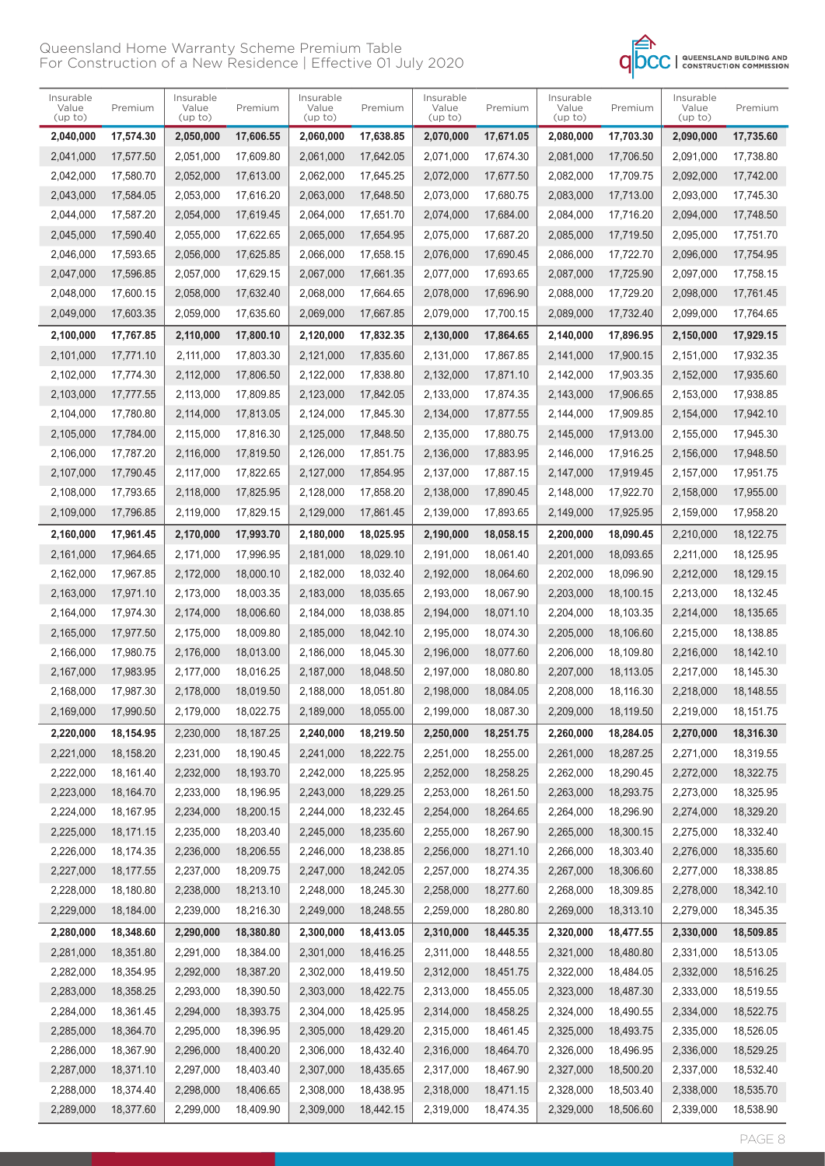

| Insurable<br>Value<br>(up to) | Premium                | Insurable<br>Value<br>(up to) | Premium                | Insurable<br>Value<br>(up to) | Premium                | Insurable<br>Value<br>(up to) | Premium                | Insurable<br>Value<br>(up to) | Premium                | Insurable<br>Value<br>(up to) | Premium                |
|-------------------------------|------------------------|-------------------------------|------------------------|-------------------------------|------------------------|-------------------------------|------------------------|-------------------------------|------------------------|-------------------------------|------------------------|
| 2,040,000                     | 17,574.30              | 2,050,000                     | 17,606.55              | 2,060,000                     | 17,638.85              | 2,070,000                     | 17,671.05              | 2,080,000                     | 17,703.30              | 2,090,000                     | 17,735.60              |
| 2,041,000                     | 17,577.50              | 2,051,000                     | 17,609.80              | 2,061,000                     | 17,642.05              | 2,071,000                     | 17,674.30              | 2,081,000                     | 17,706.50              | 2,091,000                     | 17,738.80              |
| 2,042,000                     | 17,580.70              | 2,052,000                     | 17,613.00              | 2,062,000                     | 17,645.25              | 2,072,000                     | 17,677.50              | 2,082,000                     | 17,709.75              | 2,092,000                     | 17,742.00              |
| 2,043,000                     | 17,584.05              | 2,053,000                     | 17,616.20              | 2,063,000                     | 17,648.50              | 2,073,000                     | 17,680.75              | 2,083,000                     | 17,713.00              | 2,093,000                     | 17,745.30              |
| 2,044,000                     | 17,587.20              | 2,054,000                     | 17,619.45              | 2,064,000                     | 17,651.70              | 2,074,000                     | 17,684.00              | 2,084,000                     | 17,716.20              | 2,094,000                     | 17,748.50              |
| 2,045,000                     | 17.590.40              | 2,055,000                     | 17,622.65              | 2,065,000                     | 17,654.95              | 2,075,000                     | 17,687.20              | 2,085,000                     | 17,719.50              | 2,095,000                     | 17,751.70              |
| 2,046,000                     | 17,593.65              | 2,056,000                     | 17,625.85              | 2,066,000                     | 17,658.15              | 2,076,000                     | 17,690.45              | 2,086,000                     | 17,722.70              | 2,096,000                     | 17,754.95              |
| 2,047,000                     | 17,596.85              | 2,057,000                     | 17,629.15              | 2,067,000                     | 17,661.35              | 2,077,000                     | 17,693.65              | 2,087,000                     | 17,725.90              | 2,097,000                     | 17,758.15              |
| 2,048,000                     | 17,600.15              | 2,058,000                     | 17,632.40              | 2,068,000                     | 17,664.65              | 2,078,000                     | 17,696.90              | 2,088,000                     | 17,729.20              | 2,098,000                     | 17,761.45              |
| 2,049,000                     | 17,603.35              | 2,059,000                     | 17,635.60              | 2,069,000                     | 17,667.85              | 2,079,000                     | 17,700.15              | 2,089,000                     | 17,732.40              | 2,099,000                     | 17,764.65              |
| 2,100,000                     | 17,767.85              | 2,110,000                     | 17,800.10              | 2,120,000                     | 17,832.35              | 2,130,000                     | 17,864.65              | 2,140,000                     | 17,896.95              | 2,150,000                     | 17,929.15              |
| 2,101,000                     | 17.771.10              | 2,111,000                     | 17,803.30              | 2,121,000                     | 17,835.60              | 2,131,000                     | 17,867.85              | 2,141,000                     | 17,900.15              | 2,151,000                     | 17,932.35              |
| 2,102,000                     | 17.774.30              | 2,112,000                     | 17,806.50              | 2,122,000                     | 17,838.80              | 2,132,000                     | 17,871.10              | 2,142,000                     | 17,903.35              | 2,152,000                     | 17,935.60              |
| 2,103,000                     | 17,777.55              | 2,113,000                     | 17,809.85              | 2,123,000                     | 17,842.05              | 2,133,000                     | 17,874.35              | 2,143,000                     | 17,906.65              | 2,153,000                     | 17,938.85              |
| 2,104,000                     | 17,780.80              | 2,114,000                     | 17,813.05              | 2,124,000                     | 17,845.30              | 2,134,000                     | 17,877.55              | 2,144,000                     | 17,909.85              | 2,154,000                     | 17,942.10              |
| 2,105,000                     | 17,784.00              | 2,115,000                     | 17.816.30              | 2,125,000                     | 17.848.50              | 2,135,000                     | 17,880.75              | 2,145,000                     | 17,913.00              | 2,155,000                     | 17,945.30              |
| 2,106,000                     | 17,787.20              | 2,116,000                     | 17,819.50              | 2,126,000                     | 17,851.75              | 2,136,000                     | 17,883.95              | 2,146,000                     | 17,916.25              | 2,156,000                     | 17,948.50              |
| 2,107,000                     | 17,790.45              | 2,117,000                     | 17,822.65              | 2,127,000                     | 17,854.95              | 2,137,000                     | 17.887.15              | 2,147,000                     | 17,919.45              | 2,157,000                     | 17,951.75              |
| 2,108,000                     | 17,793.65              | 2,118,000                     | 17,825.95              | 2,128,000                     | 17,858.20              | 2,138,000                     | 17,890.45              | 2,148,000                     | 17,922.70              | 2,158,000                     | 17,955.00              |
| 2,109,000                     | 17,796.85              | 2,119,000                     | 17,829.15              | 2,129,000                     | 17,861.45              | 2,139,000                     | 17,893.65              | 2,149,000                     | 17,925.95              | 2,159,000                     | 17,958.20              |
| 2,160,000                     | 17,961.45              | 2,170,000                     | 17,993.70              | 2,180,000                     | 18,025.95              | 2,190,000                     | 18,058.15              | 2,200,000                     | 18,090.45              | 2,210,000                     | 18,122.75              |
| 2,161,000                     | 17,964.65              | 2,171,000                     | 17,996.95              | 2,181,000                     | 18,029.10              | 2,191,000                     | 18,061.40              | 2,201,000                     | 18,093.65              | 2,211,000                     | 18,125.95              |
| 2,162,000                     | 17,967.85              | 2,172,000                     | 18,000.10              | 2,182,000                     | 18,032.40              | 2,192,000                     | 18,064.60              | 2,202,000                     | 18,096.90              | 2,212,000                     | 18,129.15              |
| 2,163,000                     | 17,971.10              | 2,173,000                     | 18,003.35              | 2,183,000                     | 18,035.65              | 2,193,000                     | 18,067.90              | 2,203,000                     | 18,100.15              | 2,213,000                     | 18,132.45              |
| 2,164,000                     | 17,974.30              | 2,174,000                     | 18,006.60              | 2,184,000                     | 18,038.85              | 2,194,000                     | 18,071.10              | 2,204,000                     | 18,103.35              | 2,214,000                     | 18,135.65              |
| 2,165,000                     | 17,977.50              | 2,175,000                     | 18,009.80              | 2,185,000                     | 18,042.10              | 2,195,000                     | 18,074.30              | 2,205,000                     | 18,106.60              | 2,215,000                     | 18,138.85              |
| 2,166,000                     | 17.980.75              | 2,176,000                     | 18,013.00              | 2,186,000                     | 18,045.30              | 2,196,000                     | 18,077.60              | 2,206,000                     | 18,109.80              | 2,216,000                     | 18,142.10              |
| 2,167,000                     | 17,983.95              | 2,177,000                     | 18.016.25              | 2,187,000                     | 18,048.50              | 2,197,000                     | 18,080.80              | 2,207,000                     | 18,113.05              | 2,217,000                     | 18,145.30              |
| 2,168,000                     | 17,987.30              | 2,178,000                     | 18,019.50              | 2,188,000                     | 18,051.80              | 2,198,000                     | 18,084.05              | 2,208,000                     | 18,116.30              | 2,218,000                     | 18,148.55              |
| 2,169,000                     | 17,990.50              | 2,179,000                     | 18,022.75              | 2,189,000                     | 18,055.00              | 2,199,000                     | 18,087.30              | 2,209,000                     | 18,119.50              | 2,219,000                     | 18,151.75              |
| 2,220,000                     | 18,154.95              | 2,230,000                     | 18, 187. 25            | 2,240,000                     | 18,219.50              | 2,250,000                     | 18,251.75              | 2,260,000                     | 18,284.05              | 2,270,000                     | 18,316.30              |
| 2,221,000                     | 18,158.20              | 2,231,000                     | 18,190.45              | 2,241,000                     | 18,222.75              | 2,251,000                     | 18,255.00              | 2,261,000                     | 18,287.25              | 2,271,000                     | 18,319.55              |
| 2,222,000                     | 18,161.40              | 2,232,000                     | 18,193.70              | 2,242,000                     | 18,225.95              | 2,252,000                     | 18,258.25              | 2,262,000                     | 18,290.45              | 2,272,000                     | 18,322.75              |
| 2,223,000                     | 18,164.70              | 2,233,000                     | 18,196.95              | 2,243,000                     | 18,229.25              | 2,253,000                     | 18,261.50              | 2,263,000                     | 18,293.75              | 2,273,000                     | 18,325.95              |
| 2,224,000                     | 18,167.95              | 2,234,000                     | 18,200.15              | 2,244,000                     | 18,232.45              | 2,254,000                     | 18,264.65              | 2,264,000                     | 18,296.90              | 2,274,000                     | 18,329.20              |
| 2,225,000                     | 18,171.15              | 2,235,000                     | 18,203.40              | 2,245,000                     | 18,235.60              | 2,255,000                     | 18,267.90              | 2,265,000                     | 18,300.15              | 2,275,000                     | 18,332.40              |
| 2,226,000                     | 18,174.35              | 2,236,000                     | 18,206.55              | 2,246,000                     | 18,238.85              | 2,256,000                     | 18,271.10              | 2,266,000                     | 18,303.40              | 2,276,000                     | 18,335.60              |
| 2,227,000                     | 18,177.55              | 2,237,000                     | 18,209.75              | 2,247,000                     | 18,242.05              | 2,257,000                     | 18,274.35              | 2,267,000                     | 18,306.60              | 2,277,000                     | 18,338.85              |
| 2,228,000                     | 18,180.80              | 2,238,000                     | 18,213.10              | 2,248,000                     | 18,245.30              | 2,258,000                     | 18,277.60              | 2,268,000                     | 18,309.85              | 2,278,000                     | 18,342.10              |
| 2,229,000                     | 18,184.00              | 2,239,000                     | 18,216.30              | 2,249,000                     | 18,248.55              | 2,259,000                     | 18,280.80              | 2,269,000                     | 18,313.10              | 2,279,000                     | 18,345.35              |
|                               | 18,348.60              |                               |                        |                               | 18,413.05              |                               |                        |                               |                        |                               |                        |
| 2,280,000                     | 18,351.80              | 2,290,000                     | 18,380.80<br>18,384.00 | 2,300,000                     | 18,416.25              | 2,310,000<br>2,311,000        | 18,445.35              | 2,320,000                     | 18,477.55<br>18,480.80 | 2,330,000<br>2,331,000        | 18,509.85<br>18,513.05 |
| 2,281,000                     |                        | 2,291,000                     |                        | 2,301,000                     |                        |                               | 18,448.55              | 2,321,000                     |                        |                               |                        |
| 2,282,000<br>2,283,000        | 18,354.95<br>18,358.25 | 2,292,000<br>2,293,000        | 18,387.20<br>18,390.50 | 2,302,000<br>2,303,000        | 18,419.50<br>18,422.75 | 2,312,000<br>2,313,000        | 18,451.75<br>18,455.05 | 2,322,000<br>2,323,000        | 18,484.05<br>18,487.30 | 2,332,000<br>2,333,000        | 18,516.25<br>18,519.55 |
|                               | 18,361.45              |                               |                        | 2,304,000                     | 18,425.95              |                               |                        |                               |                        |                               |                        |
| 2,284,000<br>2,285,000        | 18,364.70              | 2,294,000<br>2,295,000        | 18,393.75<br>18,396.95 | 2,305,000                     | 18,429.20              | 2,314,000<br>2,315,000        | 18,458.25<br>18,461.45 | 2,324,000<br>2,325,000        | 18,490.55<br>18,493.75 | 2,334,000<br>2,335,000        | 18,522.75<br>18,526.05 |
| 2,286,000                     | 18,367.90              | 2,296,000                     | 18,400.20              | 2,306,000                     | 18,432.40              | 2,316,000                     | 18,464.70              | 2,326,000                     | 18,496.95              | 2,336,000                     | 18,529.25              |
| 2,287,000                     | 18,371.10              | 2,297,000                     | 18,403.40              | 2,307,000                     | 18,435.65              | 2,317,000                     | 18,467.90              | 2,327,000                     | 18,500.20              | 2,337,000                     | 18,532.40              |
|                               | 18,374.40              |                               | 18,406.65              |                               | 18,438.95              |                               |                        |                               |                        |                               |                        |
| 2,288,000                     |                        | 2,298,000                     |                        | 2,308,000                     |                        | 2,318,000                     | 18,471.15              | 2,328,000                     | 18,503.40              | 2,338,000<br>2,339,000        | 18,535.70              |
| 2,289,000                     | 18,377.60              | 2,299,000                     | 18,409.90              | 2,309,000                     | 18,442.15              | 2,319,000                     | 18,474.35              | 2,329,000                     | 18,506.60              |                               | 18,538.90              |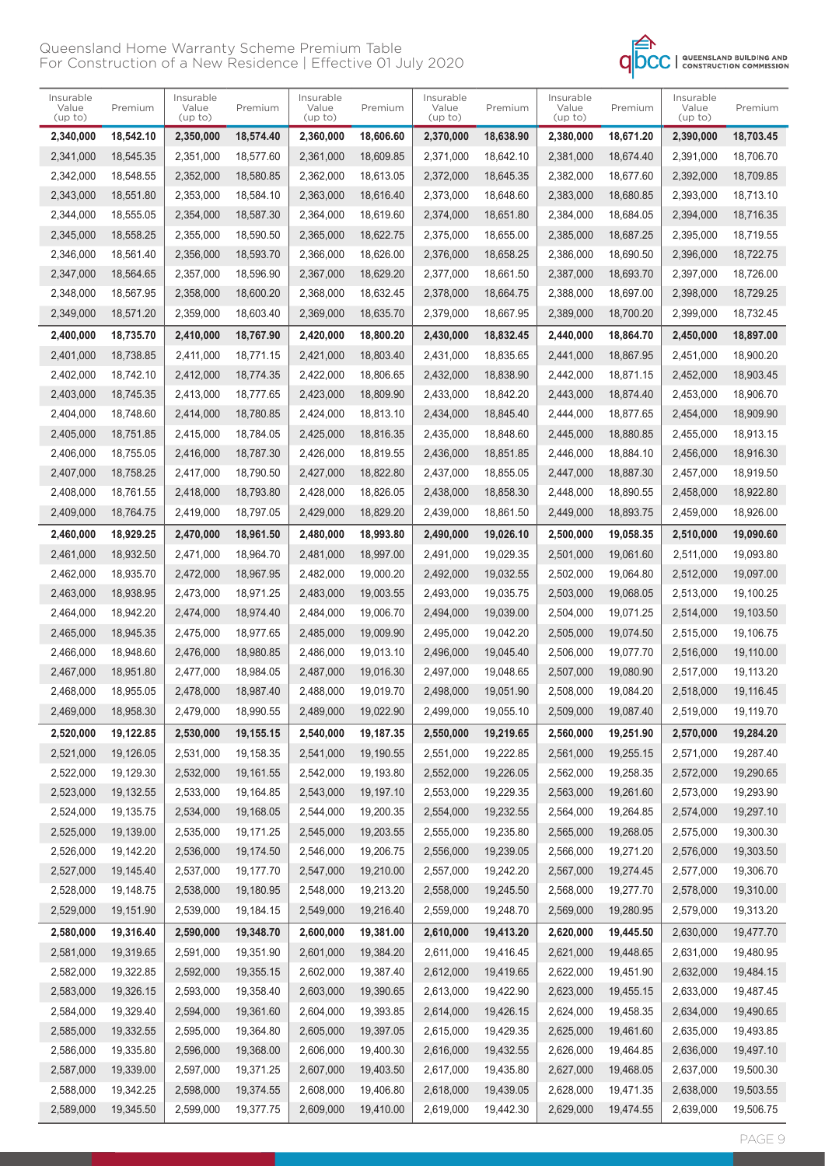

| Insurable<br>Value<br>(up to) | Premium   | Insurable<br>Value<br>(up to) | Premium   | Insurable<br>Value<br>(up to) | Premium   | Insurable<br>Value<br>(up to) | Premium   | Insurable<br>Value<br>(up to) | Premium   | Insurable<br>Value<br>(up to) | Premium   |
|-------------------------------|-----------|-------------------------------|-----------|-------------------------------|-----------|-------------------------------|-----------|-------------------------------|-----------|-------------------------------|-----------|
| 2,340,000                     | 18,542.10 | 2,350,000                     | 18,574.40 | 2,360,000                     | 18,606.60 | 2,370,000                     | 18,638.90 | 2,380,000                     | 18,671.20 | 2,390,000                     | 18,703.45 |
| 2,341,000                     | 18.545.35 | 2,351,000                     | 18.577.60 | 2,361,000                     | 18,609.85 | 2,371,000                     | 18,642.10 | 2,381,000                     | 18,674.40 | 2,391,000                     | 18,706.70 |
| 2,342,000                     | 18,548.55 | 2,352,000                     | 18,580.85 | 2,362,000                     | 18,613.05 | 2,372,000                     | 18,645.35 | 2,382,000                     | 18,677.60 | 2,392,000                     | 18,709.85 |
| 2,343,000                     | 18,551.80 | 2,353,000                     | 18,584.10 | 2,363,000                     | 18,616.40 | 2,373,000                     | 18,648.60 | 2,383,000                     | 18,680.85 | 2,393,000                     | 18,713.10 |
| 2,344,000                     | 18,555.05 | 2,354,000                     | 18,587.30 | 2,364,000                     | 18,619.60 | 2,374,000                     | 18,651.80 | 2,384,000                     | 18,684.05 | 2,394,000                     | 18,716.35 |
| 2,345,000                     | 18,558.25 | 2,355,000                     | 18,590.50 | 2,365,000                     | 18,622.75 | 2,375,000                     | 18,655.00 | 2,385,000                     | 18,687.25 | 2,395,000                     | 18,719.55 |
| 2,346,000                     | 18.561.40 | 2,356,000                     | 18,593.70 | 2,366,000                     | 18,626.00 | 2,376,000                     | 18,658.25 | 2,386,000                     | 18,690.50 | 2,396,000                     | 18,722.75 |
| 2,347,000                     | 18.564.65 | 2,357,000                     | 18,596.90 | 2,367,000                     | 18.629.20 | 2,377,000                     | 18,661.50 | 2,387,000                     | 18.693.70 | 2,397,000                     | 18,726.00 |
| 2,348,000                     | 18,567.95 | 2,358,000                     | 18,600.20 | 2,368,000                     | 18,632.45 | 2,378,000                     | 18,664.75 | 2,388,000                     | 18,697.00 | 2,398,000                     | 18,729.25 |
| 2,349,000                     | 18,571.20 | 2,359,000                     | 18,603.40 | 2,369,000                     | 18,635.70 | 2,379,000                     | 18,667.95 | 2,389,000                     | 18,700.20 | 2,399,000                     | 18,732.45 |
| 2,400,000                     | 18,735.70 | 2,410,000                     | 18,767.90 | 2,420,000                     | 18,800.20 | 2,430,000                     | 18,832.45 | 2,440,000                     | 18,864.70 | 2,450,000                     | 18,897.00 |
| 2,401,000                     | 18,738.85 | 2,411,000                     | 18,771.15 | 2,421,000                     | 18,803.40 | 2,431,000                     | 18,835.65 | 2,441,000                     | 18.867.95 | 2,451,000                     | 18,900.20 |
| 2,402,000                     | 18,742.10 | 2,412,000                     | 18,774.35 | 2,422,000                     | 18,806.65 | 2,432,000                     | 18,838.90 | 2.442.000                     | 18,871.15 | 2,452,000                     | 18,903.45 |
| 2,403,000                     | 18,745.35 | 2.413.000                     | 18,777.65 | 2,423,000                     | 18,809.90 | 2,433,000                     | 18.842.20 | 2,443,000                     | 18,874.40 | 2.453.000                     | 18.906.70 |
| 2,404,000                     | 18.748.60 | 2,414,000                     | 18,780.85 | 2,424,000                     | 18,813.10 | 2,434,000                     | 18,845.40 | 2,444,000                     | 18,877.65 | 2,454,000                     | 18,909.90 |
| 2,405,000                     | 18,751.85 | 2,415,000                     | 18,784.05 | 2,425,000                     | 18,816.35 | 2,435,000                     | 18,848.60 | 2,445,000                     | 18,880.85 | 2,455,000                     | 18,913.15 |
| 2,406,000                     | 18,755.05 | 2,416,000                     | 18,787.30 | 2,426,000                     | 18,819.55 | 2,436,000                     | 18,851.85 | 2,446,000                     | 18,884.10 | 2,456,000                     | 18,916.30 |
| 2,407,000                     | 18,758.25 | 2,417,000                     | 18,790.50 | 2,427,000                     | 18,822.80 | 2,437,000                     | 18,855.05 | 2,447,000                     | 18.887.30 | 2.457.000                     | 18,919.50 |
| 2,408,000                     | 18,761.55 | 2,418,000                     | 18,793.80 | 2,428,000                     | 18,826.05 | 2,438,000                     | 18,858.30 | 2,448,000                     | 18,890.55 | 2,458,000                     | 18,922.80 |
| 2,409,000                     | 18,764.75 | 2,419,000                     | 18,797.05 | 2,429,000                     | 18,829.20 | 2,439,000                     | 18,861.50 | 2,449,000                     | 18,893.75 | 2,459,000                     | 18,926.00 |
| 2,460,000                     | 18,929.25 | 2,470,000                     | 18,961.50 | 2,480,000                     | 18,993.80 | 2,490,000                     | 19,026.10 | 2,500,000                     | 19,058.35 | 2,510,000                     | 19,090.60 |
| 2,461,000                     | 18,932.50 | 2,471,000                     | 18,964.70 | 2,481,000                     | 18,997.00 | 2,491,000                     | 19,029.35 | 2,501,000                     | 19,061.60 | 2,511,000                     | 19,093.80 |
| 2,462,000                     | 18,935.70 | 2,472,000                     | 18,967.95 | 2,482,000                     | 19,000.20 | 2,492,000                     | 19,032.55 | 2,502,000                     | 19,064.80 | 2,512,000                     | 19,097.00 |
| 2,463,000                     | 18,938.95 | 2,473,000                     | 18,971.25 | 2,483,000                     | 19,003.55 | 2,493,000                     | 19,035.75 | 2,503,000                     | 19,068.05 | 2,513,000                     | 19,100.25 |
| 2,464,000                     | 18,942.20 | 2,474,000                     | 18,974.40 | 2,484,000                     | 19,006.70 | 2,494,000                     | 19,039.00 | 2,504,000                     | 19,071.25 | 2,514,000                     | 19,103.50 |
| 2,465,000                     | 18,945.35 | 2,475,000                     | 18.977.65 | 2,485,000                     | 19.009.90 | 2,495,000                     | 19,042.20 | 2,505,000                     | 19.074.50 | 2,515,000                     | 19,106.75 |
| 2,466,000                     | 18,948.60 | 2,476,000                     | 18,980.85 | 2,486,000                     | 19,013.10 | 2,496,000                     | 19,045.40 | 2,506,000                     | 19,077.70 | 2,516,000                     | 19,110.00 |
| 2,467,000                     | 18,951.80 | 2,477,000                     | 18,984.05 | 2,487,000                     | 19,016.30 | 2,497,000                     | 19,048.65 | 2,507,000                     | 19.080.90 | 2.517.000                     | 19,113.20 |
| 2,468,000                     | 18,955.05 | 2,478,000                     | 18,987.40 | 2,488,000                     | 19,019.70 | 2,498,000                     | 19,051.90 | 2,508,000                     | 19,084.20 | 2,518,000                     | 19.116.45 |
| 2,469,000                     | 18,958.30 | 2,479,000                     | 18,990.55 | 2,489,000                     | 19,022.90 | 2,499,000                     | 19,055.10 | 2,509,000                     | 19,087.40 | 2,519,000                     | 19,119.70 |
| 2,520,000                     | 19,122.85 | 2,530,000                     | 19,155.15 | 2,540,000                     | 19,187.35 | 2,550,000                     | 19,219.65 | 2,560,000                     | 19,251.90 | 2,570,000                     | 19,284.20 |
| 2,521,000                     | 19,126.05 | 2,531,000                     | 19,158.35 | 2,541,000                     | 19,190.55 | 2,551,000                     | 19,222.85 | 2,561,000                     | 19,255.15 | 2,571,000                     | 19,287.40 |
| 2,522,000                     | 19,129.30 | 2,532,000                     | 19,161.55 | 2,542,000                     | 19,193.80 | 2,552,000                     | 19,226.05 | 2,562,000                     | 19,258.35 | 2,572,000                     | 19,290.65 |
| 2,523,000                     | 19,132.55 | 2,533,000                     | 19,164.85 | 2,543,000                     | 19,197.10 | 2,553,000                     | 19,229.35 | 2,563,000                     | 19,261.60 | 2,573,000                     | 19,293.90 |
| 2,524,000                     | 19,135.75 | 2,534,000                     | 19,168.05 | 2,544,000                     | 19,200.35 | 2,554,000                     | 19,232.55 | 2,564,000                     | 19,264.85 | 2,574,000                     | 19,297.10 |
| 2,525,000                     | 19,139.00 | 2,535,000                     | 19,171.25 | 2,545,000                     | 19,203.55 | 2,555,000                     | 19,235.80 | 2,565,000                     | 19,268.05 | 2,575,000                     | 19,300.30 |
| 2,526,000                     | 19,142.20 | 2,536,000                     | 19,174.50 | 2,546,000                     | 19,206.75 | 2,556,000                     | 19,239.05 | 2,566,000                     | 19,271.20 | 2,576,000                     | 19,303.50 |
| 2,527,000                     | 19,145.40 | 2,537,000                     | 19,177.70 | 2,547,000                     | 19,210.00 | 2,557,000                     | 19,242.20 | 2,567,000                     | 19,274.45 | 2,577,000                     | 19,306.70 |
| 2,528,000                     | 19,148.75 | 2,538,000                     | 19,180.95 | 2,548,000                     | 19,213.20 | 2,558,000                     | 19,245.50 | 2,568,000                     | 19,277.70 | 2,578,000                     | 19,310.00 |
| 2,529,000                     | 19,151.90 | 2,539,000                     | 19,184.15 | 2,549,000                     | 19,216.40 | 2,559,000                     | 19,248.70 | 2,569,000                     | 19,280.95 | 2,579,000                     | 19,313.20 |
| 2,580,000                     | 19,316.40 | 2,590,000                     | 19,348.70 | 2,600,000                     | 19,381.00 | 2,610,000                     | 19,413.20 | 2,620,000                     | 19,445.50 | 2,630,000                     | 19,477.70 |
| 2,581,000                     | 19,319.65 | 2,591,000                     | 19,351.90 | 2,601,000                     | 19,384.20 | 2,611,000                     | 19,416.45 | 2,621,000                     | 19,448.65 | 2,631,000                     | 19,480.95 |
| 2,582,000                     | 19,322.85 | 2,592,000                     | 19,355.15 | 2,602,000                     | 19,387.40 | 2,612,000                     | 19,419.65 | 2,622,000                     | 19,451.90 | 2,632,000                     | 19,484.15 |
| 2,583,000                     | 19,326.15 | 2,593,000                     | 19,358.40 | 2,603,000                     | 19,390.65 | 2,613,000                     | 19,422.90 | 2,623,000                     | 19,455.15 | 2,633,000                     | 19,487.45 |
| 2,584,000                     | 19,329.40 | 2,594,000                     | 19,361.60 | 2,604,000                     | 19,393.85 | 2,614,000                     | 19,426.15 | 2,624,000                     | 19,458.35 | 2,634,000                     | 19,490.65 |
| 2,585,000                     | 19,332.55 | 2,595,000                     | 19,364.80 | 2,605,000                     | 19,397.05 | 2,615,000                     | 19,429.35 | 2,625,000                     | 19,461.60 | 2,635,000                     | 19,493.85 |
| 2,586,000                     | 19,335.80 | 2,596,000                     | 19,368.00 | 2,606,000                     | 19,400.30 | 2,616,000                     | 19,432.55 | 2,626,000                     | 19,464.85 | 2,636,000                     | 19,497.10 |
| 2,587,000                     | 19,339.00 | 2,597,000                     | 19,371.25 | 2,607,000                     | 19,403.50 | 2,617,000                     | 19,435.80 | 2,627,000                     | 19,468.05 | 2,637,000                     | 19,500.30 |
| 2,588,000                     | 19,342.25 | 2,598,000                     | 19,374.55 | 2,608,000                     | 19,406.80 | 2,618,000                     | 19,439.05 | 2,628,000                     | 19,471.35 | 2,638,000                     | 19,503.55 |
| 2,589,000                     | 19,345.50 | 2,599,000                     | 19,377.75 | 2,609,000                     | 19,410.00 | 2,619,000                     | 19,442.30 | 2,629,000                     | 19,474.55 | 2,639,000                     | 19,506.75 |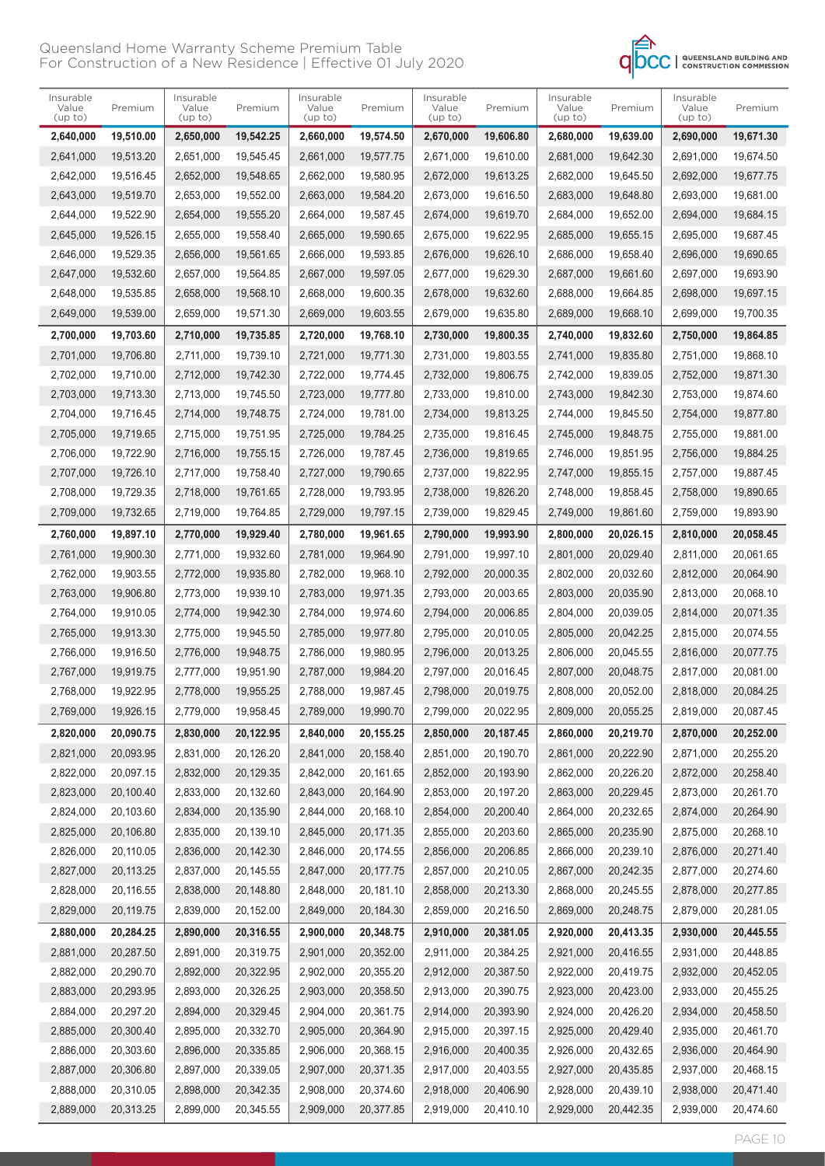

| Insurable<br>Value<br>(up to) | Premium    | Insurable<br>Value<br>(up to) | Premium   | Insurable<br>Value<br>$($ up to $)$ | Premium   | Insurable<br>Value<br>(up to) | Premium   | Insurable<br>Value<br>(up to) | Premium   | Insurable<br>Value<br>(up to) | Premium   |
|-------------------------------|------------|-------------------------------|-----------|-------------------------------------|-----------|-------------------------------|-----------|-------------------------------|-----------|-------------------------------|-----------|
| 2,640,000                     | 19,510.00  | 2,650,000                     | 19,542.25 | 2,660,000                           | 19,574.50 | 2,670,000                     | 19,606.80 | 2,680,000                     | 19,639.00 | 2,690,000                     | 19,671.30 |
| 2,641,000                     | 19,513.20  | 2,651,000                     | 19,545.45 | 2,661,000                           | 19,577.75 | 2,671,000                     | 19,610.00 | 2,681,000                     | 19,642.30 | 2,691,000                     | 19,674.50 |
| 2,642,000                     | 19,516.45  | 2,652,000                     | 19,548.65 | 2.662.000                           | 19,580.95 | 2,672,000                     | 19,613.25 | 2,682,000                     | 19,645.50 | 2,692,000                     | 19,677.75 |
| 2,643,000                     | 19,519.70  | 2,653,000                     | 19,552.00 | 2,663,000                           | 19,584.20 | 2,673,000                     | 19,616.50 | 2,683,000                     | 19,648.80 | 2,693,000                     | 19,681.00 |
| 2,644,000                     | 19,522.90  | 2,654,000                     | 19,555.20 | 2,664,000                           | 19,587.45 | 2,674,000                     | 19,619.70 | 2,684,000                     | 19,652.00 | 2,694,000                     | 19,684.15 |
| 2,645,000                     | 19,526.15  | 2,655,000                     | 19,558.40 | 2,665,000                           | 19,590.65 | 2,675,000                     | 19,622.95 | 2,685,000                     | 19,655.15 | 2,695,000                     | 19,687.45 |
| 2,646,000                     | 19,529.35  | 2,656,000                     | 19,561.65 | 2,666,000                           | 19,593.85 | 2,676,000                     | 19,626.10 | 2,686,000                     | 19,658.40 | 2,696,000                     | 19,690.65 |
| 2,647,000                     | 19,532.60  | 2,657,000                     | 19,564.85 | 2,667,000                           | 19,597.05 | 2,677,000                     | 19,629.30 | 2,687,000                     | 19,661.60 | 2,697,000                     | 19,693.90 |
| 2,648,000                     | 19,535.85  | 2,658,000                     | 19,568.10 | 2,668,000                           | 19,600.35 | 2,678,000                     | 19,632.60 | 2,688,000                     | 19,664.85 | 2,698,000                     | 19,697.15 |
| 2,649,000                     | 19,539.00  | 2,659,000                     | 19,571.30 | 2,669,000                           | 19,603.55 | 2,679,000                     | 19,635.80 | 2,689,000                     | 19,668.10 | 2,699,000                     | 19,700.35 |
| 2,700,000                     | 19,703.60  | 2,710,000                     | 19,735.85 | 2,720,000                           | 19,768.10 | 2,730,000                     | 19,800.35 | 2,740,000                     | 19,832.60 | 2,750,000                     | 19,864.85 |
| 2,701,000                     | 19,706.80  | 2,711,000                     | 19,739.10 | 2,721,000                           | 19,771.30 | 2,731,000                     | 19,803.55 | 2,741,000                     | 19,835.80 | 2,751,000                     | 19,868.10 |
| 2,702,000                     | 19.710.00  | 2,712,000                     | 19,742.30 | 2,722,000                           | 19,774.45 | 2,732,000                     | 19,806.75 | 2,742,000                     | 19,839.05 | 2,752,000                     | 19,871.30 |
| 2,703,000                     | 19,713.30  | 2,713,000                     | 19.745.50 | 2,723,000                           | 19.777.80 | 2,733,000                     | 19,810.00 | 2,743,000                     | 19,842.30 | 2,753,000                     | 19,874.60 |
| 2,704,000                     | 19.716.45  | 2,714,000                     | 19,748.75 | 2,724,000                           | 19,781.00 | 2,734,000                     | 19,813.25 | 2,744,000                     | 19.845.50 | 2,754,000                     | 19,877.80 |
| 2,705,000                     | 19,719.65  | 2,715,000                     | 19,751.95 | 2,725,000                           | 19,784.25 | 2,735,000                     | 19,816.45 | 2,745,000                     | 19,848.75 | 2,755,000                     | 19,881.00 |
| 2,706,000                     | 19,722.90  | 2,716,000                     | 19,755.15 | 2,726,000                           | 19.787.45 | 2,736,000                     | 19,819.65 | 2,746,000                     | 19,851.95 | 2,756,000                     | 19,884.25 |
| 2,707,000                     | 19,726.10  | 2,717,000                     | 19,758.40 | 2,727,000                           | 19,790.65 | 2,737,000                     | 19,822.95 | 2,747,000                     | 19,855.15 | 2,757,000                     | 19,887.45 |
| 2,708,000                     | 19,729.35  | 2,718,000                     | 19,761.65 | 2,728,000                           | 19,793.95 | 2,738,000                     | 19,826.20 | 2,748,000                     | 19,858.45 | 2,758,000                     | 19,890.65 |
| 2,709,000                     | 19,732.65  | 2,719,000                     | 19,764.85 | 2,729,000                           | 19,797.15 | 2,739,000                     | 19,829.45 | 2,749,000                     | 19,861.60 | 2,759,000                     | 19,893.90 |
| 2,760,000                     | 19,897.10  | 2,770,000                     | 19,929.40 | 2,780,000                           | 19,961.65 | 2,790,000                     | 19,993.90 | 2,800,000                     | 20,026.15 | 2,810,000                     | 20,058.45 |
| 2,761,000                     | 19,900.30  | 2,771,000                     | 19,932.60 | 2,781,000                           | 19,964.90 | 2,791,000                     | 19,997.10 | 2,801,000                     | 20,029.40 | 2,811,000                     | 20,061.65 |
| 2,762,000                     | 19,903.55  | 2,772,000                     | 19,935.80 | 2,782,000                           | 19,968.10 | 2,792,000                     | 20,000.35 | 2,802,000                     | 20,032.60 | 2,812,000                     | 20,064.90 |
| 2,763,000                     | 19,906.80  | 2,773,000                     | 19,939.10 | 2,783,000                           | 19,971.35 | 2,793,000                     | 20,003.65 | 2,803,000                     | 20,035.90 | 2,813,000                     | 20,068.10 |
| 2,764,000                     | 19,910.05  | 2,774,000                     | 19,942.30 | 2,784,000                           | 19,974.60 | 2,794,000                     | 20,006.85 | 2,804,000                     | 20,039.05 | 2,814,000                     | 20,071.35 |
| 2,765,000                     | 19,913.30  | 2,775,000                     | 19,945.50 | 2,785,000                           | 19,977.80 | 2,795,000                     | 20,010.05 | 2,805,000                     | 20,042.25 | 2,815,000                     | 20,074.55 |
| 2,766,000                     | 19,916.50  | 2,776,000                     | 19,948.75 | 2,786,000                           | 19,980.95 | 2,796,000                     | 20,013.25 | 2,806,000                     | 20,045.55 | 2,816,000                     | 20,077.75 |
| 2,767,000                     | 19,919.75  | 2,777,000                     | 19,951.90 | 2,787,000                           | 19,984.20 | 2,797,000                     | 20,016.45 | 2.807.000                     | 20,048.75 | 2,817,000                     | 20,081.00 |
| 2,768,000                     | 19,922.95  | 2,778,000                     | 19,955.25 | 2,788,000                           | 19,987.45 | 2,798,000                     | 20,019.75 | 2.808.000                     | 20,052.00 | 2,818,000                     | 20,084.25 |
| 2,769,000                     | 19,926.15  | 2,779,000                     | 19,958.45 | 2,789,000                           | 19,990.70 | 2,799,000                     | 20,022.95 | 2,809,000                     | 20,055.25 | 2,819,000                     | 20,087.45 |
| 2,820,000                     | 20,090.75  | 2,830,000                     | 20,122.95 | 2,840,000                           | 20,155.25 | 2,850,000                     | 20,187.45 | 2,860,000                     | 20,219.70 | 2,870,000                     | 20,252.00 |
| 2,821,000                     | 20,093.95  | 2,831,000                     | 20,126.20 | 2,841,000                           | 20,158.40 | 2,851,000                     | 20,190.70 | 2,861,000                     | 20,222.90 | 2,871,000                     | 20,255.20 |
| 2,822,000                     | 20,097.15  | 2,832,000                     | 20,129.35 | 2,842,000                           | 20,161.65 | 2,852,000                     | 20,193.90 | 2,862,000                     | 20,226.20 | 2,872,000                     | 20,258.40 |
| 2,823,000                     | 20,100.40  | 2,833,000                     | 20,132.60 | 2,843,000                           | 20,164.90 | 2,853,000                     | 20,197.20 | 2,863,000                     | 20,229.45 | 2,873,000                     | 20,261.70 |
| 2,824,000                     | 20,103.60  | 2,834,000                     | 20,135.90 | 2,844,000                           | 20,168.10 | 2,854,000                     | 20,200.40 | 2,864,000                     | 20,232.65 | 2,874,000                     | 20,264.90 |
| 2,825,000                     | 20,106.80  | 2,835,000                     | 20,139.10 | 2,845,000                           | 20,171.35 | 2,855,000                     | 20,203.60 | 2,865,000                     | 20,235.90 | 2,875,000                     | 20,268.10 |
| 2,826,000                     | 20,110.05  | 2,836,000                     | 20,142.30 | 2,846,000                           | 20,174.55 | 2,856,000                     | 20,206.85 | 2,866,000                     | 20,239.10 | 2,876,000                     | 20,271.40 |
| 2,827,000                     | 20, 113.25 | 2,837,000                     | 20,145.55 | 2,847,000                           | 20,177.75 | 2,857,000                     | 20,210.05 | 2,867,000                     | 20,242.35 | 2,877,000                     | 20,274.60 |
| 2,828,000                     | 20,116.55  | 2,838,000                     | 20,148.80 | 2,848,000                           | 20,181.10 | 2,858,000                     | 20,213.30 | 2,868,000                     | 20,245.55 | 2,878,000                     | 20,277.85 |
| 2,829,000                     | 20,119.75  | 2,839,000                     | 20,152.00 | 2,849,000                           | 20,184.30 | 2,859,000                     | 20,216.50 | 2,869,000                     | 20,248.75 | 2,879,000                     | 20,281.05 |
| 2,880,000                     | 20,284.25  | 2,890,000                     | 20,316.55 | 2,900,000                           | 20,348.75 | 2,910,000                     | 20,381.05 | 2,920,000                     | 20,413.35 | 2,930,000                     | 20,445.55 |
| 2,881,000                     | 20,287.50  | 2,891,000                     | 20,319.75 | 2,901,000                           | 20,352.00 | 2,911,000                     | 20,384.25 | 2,921,000                     | 20,416.55 | 2,931,000                     | 20,448.85 |
| 2,882,000                     | 20,290.70  | 2,892,000                     | 20,322.95 | 2,902,000                           | 20,355.20 | 2,912,000                     | 20,387.50 | 2,922,000                     | 20,419.75 | 2,932,000                     | 20,452.05 |
| 2,883,000                     | 20,293.95  | 2,893,000                     | 20,326.25 | 2,903,000                           | 20,358.50 | 2,913,000                     | 20,390.75 | 2,923,000                     | 20,423.00 | 2,933,000                     | 20,455.25 |
| 2,884,000                     | 20,297.20  | 2,894,000                     | 20,329.45 | 2,904,000                           | 20,361.75 | 2,914,000                     | 20,393.90 | 2,924,000                     | 20,426.20 | 2,934,000                     | 20,458.50 |
| 2,885,000                     | 20,300.40  | 2,895,000                     | 20,332.70 | 2,905,000                           | 20,364.90 | 2,915,000                     | 20,397.15 | 2,925,000                     | 20,429.40 | 2,935,000                     | 20,461.70 |
| 2,886,000                     | 20,303.60  | 2,896,000                     | 20,335.85 | 2,906,000                           | 20,368.15 | 2,916,000                     | 20,400.35 | 2,926,000                     | 20,432.65 | 2,936,000                     | 20,464.90 |
| 2,887,000                     | 20,306.80  | 2,897,000                     | 20,339.05 | 2,907,000                           | 20,371.35 | 2,917,000                     | 20,403.55 | 2,927,000                     | 20,435.85 | 2,937,000                     | 20,468.15 |
| 2,888,000                     | 20,310.05  | 2,898,000                     | 20,342.35 | 2,908,000                           | 20,374.60 | 2,918,000                     | 20,406.90 | 2,928,000                     | 20,439.10 | 2,938,000                     | 20,471.40 |
| 2,889,000                     | 20,313.25  | 2,899,000                     | 20,345.55 | 2,909,000                           | 20,377.85 | 2,919,000                     | 20,410.10 | 2,929,000                     | 20,442.35 | 2,939,000                     | 20,474.60 |
|                               |            |                               |           |                                     |           |                               |           |                               |           |                               |           |